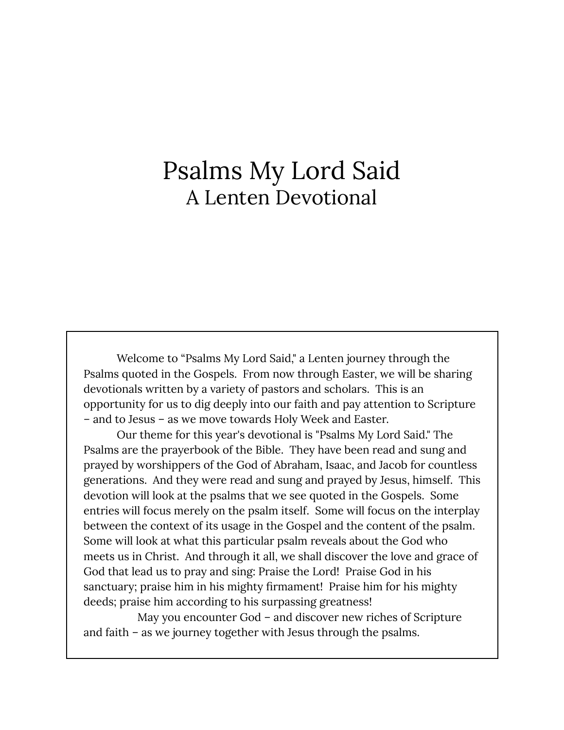# Psalms My Lord Said A Lenten Devotional

Welcome to "Psalms My Lord Said," a Lenten journey through the Psalms quoted in the Gospels. From now through Easter, we will be sharing devotionals written by a variety of pastors and scholars. This is an opportunity for us to dig deeply into our faith and pay attention to Scripture – and to Jesus – as we move towards Holy Week and Easter.

Our theme for this year's devotional is "Psalms My Lord Said." The Psalms are the prayerbook of the Bible. They have been read and sung and prayed by worshippers of the God of Abraham, Isaac, and Jacob for countless generations. And they were read and sung and prayed by Jesus, himself. This devotion will look at the psalms that we see quoted in the Gospels. Some entries will focus merely on the psalm itself. Some will focus on the interplay between the context of its usage in the Gospel and the content of the psalm. Some will look at what this particular psalm reveals about the God who meets us in Christ. And through it all, we shall discover the love and grace of God that lead us to pray and sing: Praise the Lord! Praise God in his sanctuary; praise him in his mighty firmament! Praise him for his mighty deeds; praise him according to his surpassing greatness!

May you encounter God – and discover new riches of Scripture and faith – as we journey together with Jesus through the psalms.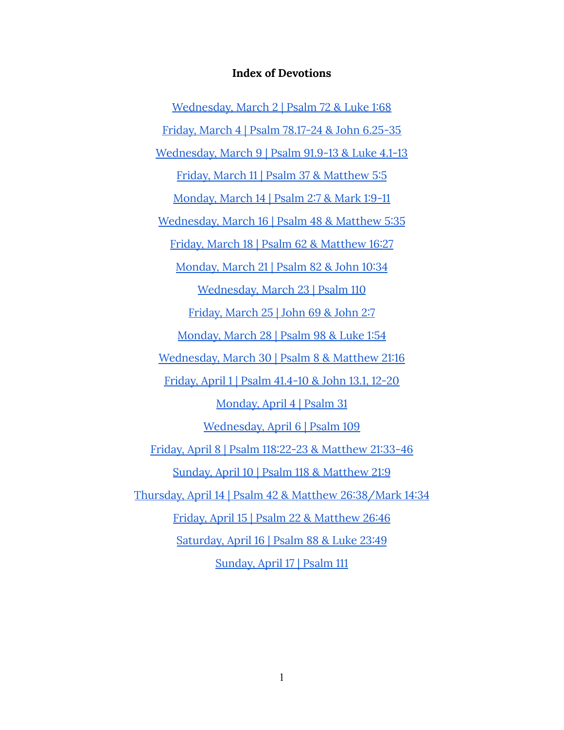#### **Index of Devotions**

[Wednesday,](#page-2-0) March 2 | Psalm 72 & Luke 1:68 Friday, March 4 | Psalm [78.17-24](#page-4-0) & John 6.25-35 [Wednesday,](#page-6-0) March 9 | Psalm 91.9-13 & Luke 4.1-13 Friday, March 11 | Psalm 37 & [Matthew](#page-8-0) 5:5 [Monday,](#page-10-0) March 14 | Psalm 2:7 & Mark 1:9-11 [Wednesday,](#page-12-0) March 16 | Psalm 48 & Matthew 5:35 Friday, March 18 | Psalm 62 & [Matthew](#page-14-0) 16:27 [Monday,](#page-17-0) March 21 | Psalm 82 & John 10:34 [Wednesday,](#page-19-0) March 23 | Psalm 110 [Friday,](#page-21-0) March 25 | John 69 & John 2:7 [Monday,](#page-23-0) March 28 | Psalm 98 & Luke 1:54 [Wednesday,](#page-24-0) March 30 | Psalm 8 & Matthew 21:16 Friday, April 1 | Psalm [41.4-10](#page-26-0) & John 13.1, 12-20 [Monday,](#page-28-0) April 4 | Psalm 31 [Wednesday,](#page-30-0) April 6 | Psalm 109 Friday, April 8 | Psalm 118:22-23 & [Matthew](#page-34-0) 21:33-46 Sunday, April 10 | Psalm 118 & [Matthew](#page-36-0) 21:9 Thursday, April 14 | Psalm 42 & Matthew [26:38/Mark](#page-38-0) 14:34 Friday, April 15 | Psalm 22 & [Matthew](#page-40-0) 26:46 [Saturday,](#page-41-0) April 16 | Psalm 88 & Luke 23:49 [Sunday,](#page-44-0) April 17 | Psalm 111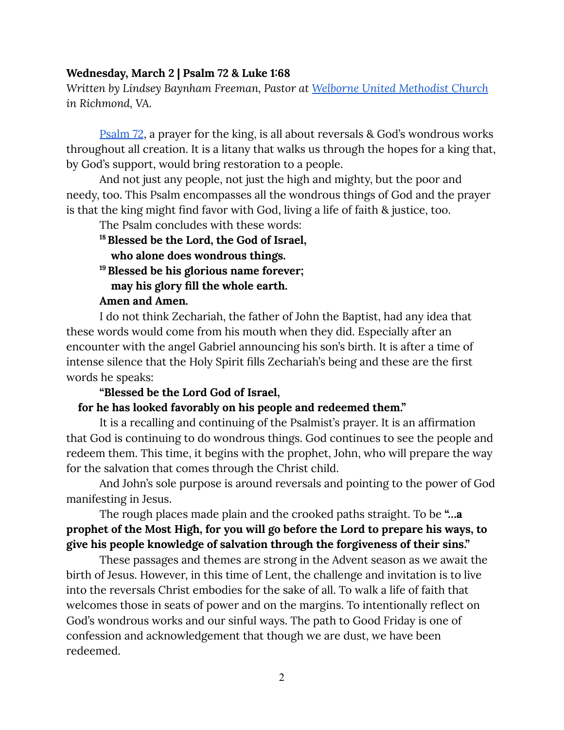#### <span id="page-2-0"></span>**Wednesday, March 2 | Psalm 72 & Luke 1:68**

*Written by Lindsey Baynham Freeman, Pastor at Welborne United [Methodist](https://welbornechurch.org/) Church in Richmond, VA.*

[Psalm](https://www.biblegateway.com/passage/?search=Psalm+72&version=CEB) 72, a prayer for the king, is all about reversals & God's wondrous works throughout all creation. It is a litany that walks us through the hopes for a king that, by God's support, would bring restoration to a people.

And not just any people, not just the high and mighty, but the poor and needy, too. This Psalm encompasses all the wondrous things of God and the prayer is that the king might find favor with God, living a life of faith & justice, too.

The Psalm concludes with these words: **<sup>18</sup>Blessed be the Lord, the God of Israel, who alone does wondrous things. <sup>19</sup>Blessed be his glorious name forever; may his glory fill the whole earth.**

## **Amen and Amen.**

I do not think Zechariah, the father of John the Baptist, had any idea that these words would come from his mouth when they did. Especially after an encounter with the angel Gabriel announcing his son's birth. It is after a time of intense silence that the Holy Spirit fills Zechariah's being and these are the first words he speaks:

#### **"Blessed be the Lord God of Israel,**

#### **for he has looked favorably on his people and redeemed them."**

It is a recalling and continuing of the Psalmist's prayer. It is an affirmation that God is continuing to do wondrous things. God continues to see the people and redeem them. This time, it begins with the prophet, John, who will prepare the way for the salvation that comes through the Christ child.

And John's sole purpose is around reversals and pointing to the power of God manifesting in Jesus.

## The rough places made plain and the crooked paths straight. To be **"…a prophet of the Most High, for you will go before the Lord to prepare his ways, to give his people knowledge of salvation through the forgiveness of their sins."**

These passages and themes are strong in the Advent season as we await the birth of Jesus. However, in this time of Lent, the challenge and invitation is to live into the reversals Christ embodies for the sake of all. To walk a life of faith that welcomes those in seats of power and on the margins. To intentionally reflect on God's wondrous works and our sinful ways. The path to Good Friday is one of confession and acknowledgement that though we are dust, we have been redeemed.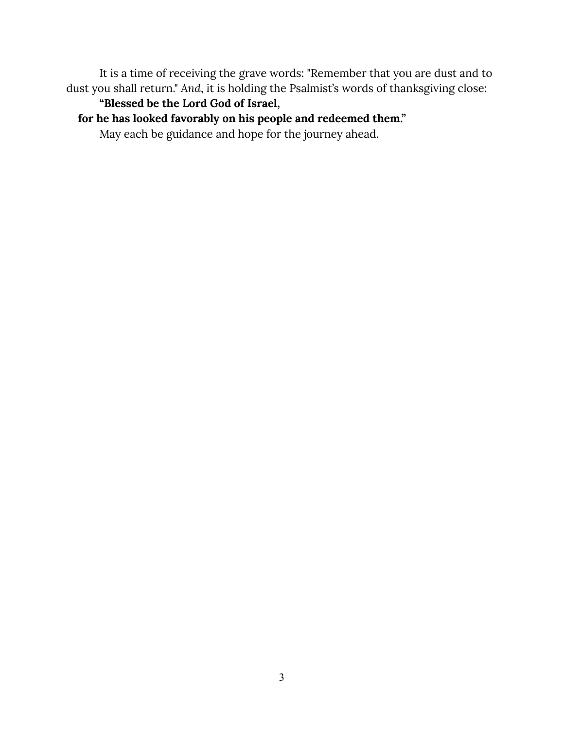It is a time of receiving the grave words: "Remember that you are dust and to dust you shall return." *And*, it is holding the Psalmist's words of thanksgiving close:

## **"Blessed be the Lord God of Israel,**

## **for he has looked favorably on his people and redeemed them."**

May each be guidance and hope for the journey ahead.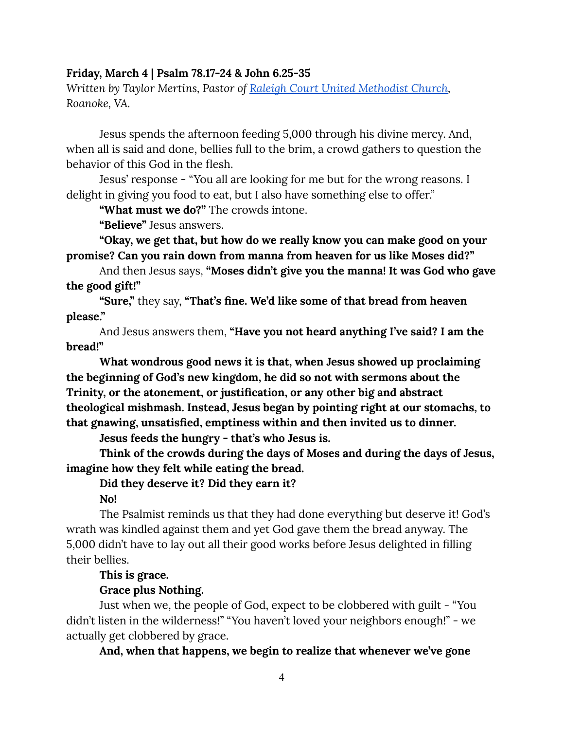#### <span id="page-4-0"></span>**Friday, March 4 | Psalm 78.17-24 & John 6.25-35**

*Written by Taylor Mertins, Pastor of Raleigh Court United [Methodist](https://rcumc.org/) Church, Roanoke, VA.*

Jesus spends the afternoon feeding 5,000 through his divine mercy. And, when all is said and done, bellies full to the brim, a crowd gathers to question the behavior of this God in the flesh.

Jesus' response - "You all are looking for me but for the wrong reasons. I delight in giving you food to eat, but I also have something else to offer."

**"What must we do?"** The crowds intone.

**"Believe"** Jesus answers.

**"Okay, we get that, but how do we really know you can make good on your promise? Can you rain down from manna from heaven for us like Moses did?"**

And then Jesus says, **"Moses didn't give you the manna! It was God who gave the good gift!"**

**"Sure,"** they say, **"That's fine. We'd like some of that bread from heaven please."**

And Jesus answers them, **"Have you not heard anything I've said? I am the bread!"**

**What wondrous good news it is that, when Jesus showed up proclaiming the beginning of God's new kingdom, he did so not with sermons about the Trinity, or the atonement, or justification, or any other big and abstract theological mishmash. Instead, Jesus began by pointing right at our stomachs, to that gnawing, unsatisfied, emptiness within and then invited us to dinner.**

**Jesus feeds the hungry - that's who Jesus is.**

**Think of the crowds during the days of Moses and during the days of Jesus, imagine how they felt while eating the bread.**

**Did they deserve it? Did they earn it?**

**No!**

The Psalmist reminds us that they had done everything but deserve it! God's wrath was kindled against them and yet God gave them the bread anyway. The 5,000 didn't have to lay out all their good works before Jesus delighted in filling their bellies.

#### **This is grace.**

#### **Grace plus Nothing.**

Just when we, the people of God, expect to be clobbered with guilt - "You didn't listen in the wilderness!" "You haven't loved your neighbors enough!" - we actually get clobbered by grace.

**And, when that happens, we begin to realize that whenever we've gone**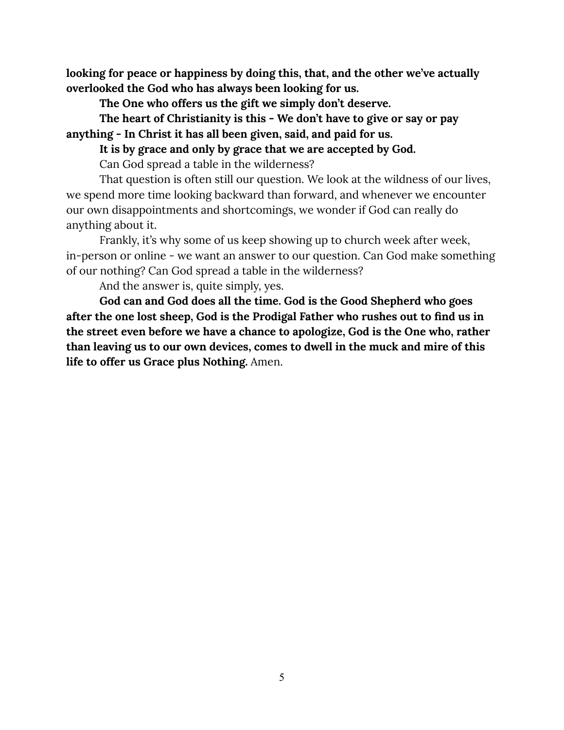**looking for peace or happiness by doing this, that, and the other we've actually overlooked the God who has always been looking for us.**

**The One who offers us the gift we simply don't deserve.**

**The heart of Christianity is this - We don't have to give or say or pay anything - In Christ it has all been given, said, and paid for us.**

**It is by grace and only by grace that we are accepted by God.**

Can God spread a table in the wilderness?

That question is often still our question. We look at the wildness of our lives, we spend more time looking backward than forward, and whenever we encounter our own disappointments and shortcomings, we wonder if God can really do anything about it.

Frankly, it's why some of us keep showing up to church week after week, in-person or online - we want an answer to our question. Can God make something of our nothing? Can God spread a table in the wilderness?

And the answer is, quite simply, yes.

**God can and God does all the time. God is the Good Shepherd who goes after the one lost sheep, God is the Prodigal Father who rushes out to find us in the street even before we have a chance to apologize, God is the One who, rather than leaving us to our own devices, comes to dwell in the muck and mire of this life to offer us Grace plus Nothing.** Amen.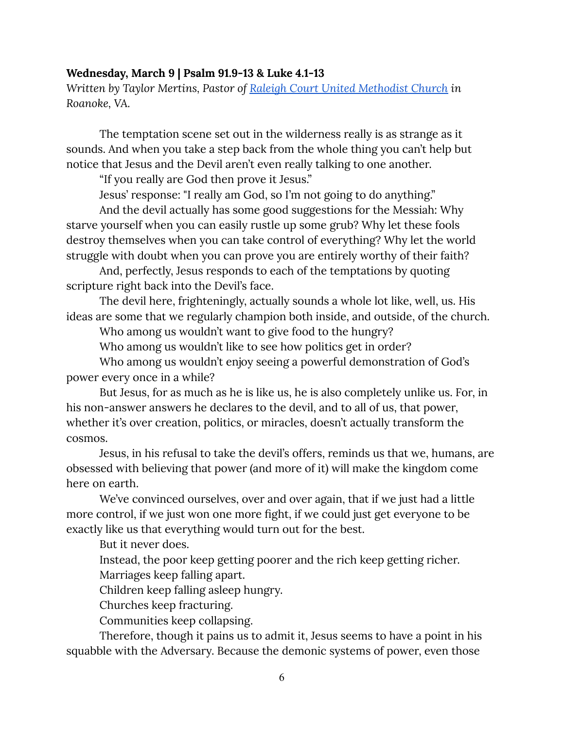#### <span id="page-6-0"></span>**Wednesday, March 9 | Psalm 91.9-13 & Luke 4.1-13**

*Written by Taylor Mertins, Pastor of Raleigh Court United [Methodist](https://rcumc.org/) Church in Roanoke, VA.*

The temptation scene set out in the wilderness really is as strange as it sounds. And when you take a step back from the whole thing you can't help but notice that Jesus and the Devil aren't even really talking to one another.

"If you really are God then prove it Jesus."

Jesus' response: "I really am God, so I'm not going to do anything."

And the devil actually has some good suggestions for the Messiah: Why starve yourself when you can easily rustle up some grub? Why let these fools destroy themselves when you can take control of everything? Why let the world struggle with doubt when you can prove you are entirely worthy of their faith?

And, perfectly, Jesus responds to each of the temptations by quoting scripture right back into the Devil's face.

The devil here, frighteningly, actually sounds a whole lot like, well, us. His ideas are some that we regularly champion both inside, and outside, of the church.

Who among us wouldn't want to give food to the hungry?

Who among us wouldn't like to see how politics get in order?

Who among us wouldn't enjoy seeing a powerful demonstration of God's power every once in a while?

But Jesus, for as much as he is like us, he is also completely unlike us. For, in his non-answer answers he declares to the devil, and to all of us, that power, whether it's over creation, politics, or miracles, doesn't actually transform the cosmos.

Jesus, in his refusal to take the devil's offers, reminds us that we, humans, are obsessed with believing that power (and more of it) will make the kingdom come here on earth.

We've convinced ourselves, over and over again, that if we just had a little more control, if we just won one more fight, if we could just get everyone to be exactly like us that everything would turn out for the best.

But it never does.

Instead, the poor keep getting poorer and the rich keep getting richer.

Marriages keep falling apart.

Children keep falling asleep hungry.

Churches keep fracturing.

Communities keep collapsing.

Therefore, though it pains us to admit it, Jesus seems to have a point in his squabble with the Adversary. Because the demonic systems of power, even those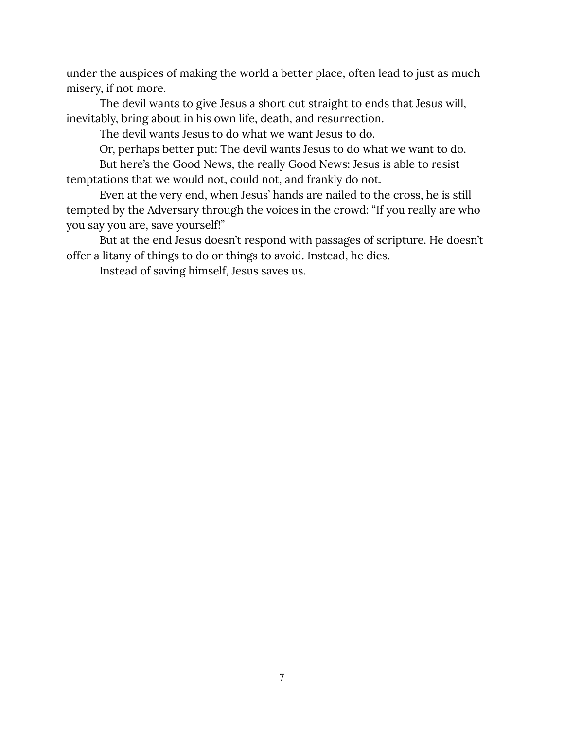under the auspices of making the world a better place, often lead to just as much misery, if not more.

The devil wants to give Jesus a short cut straight to ends that Jesus will, inevitably, bring about in his own life, death, and resurrection.

The devil wants Jesus to do what we want Jesus to do.

Or, perhaps better put: The devil wants Jesus to do what we want to do.

But here's the Good News, the really Good News: Jesus is able to resist temptations that we would not, could not, and frankly do not.

Even at the very end, when Jesus' hands are nailed to the cross, he is still tempted by the Adversary through the voices in the crowd: "If you really are who you say you are, save yourself!"

But at the end Jesus doesn't respond with passages of scripture. He doesn't offer a litany of things to do or things to avoid. Instead, he dies.

Instead of saving himself, Jesus saves us.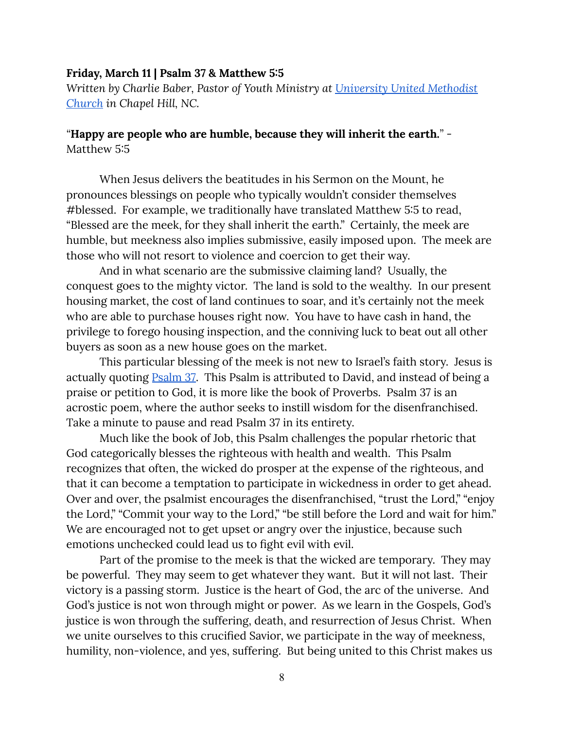#### <span id="page-8-0"></span>**Friday, March 11 | Psalm 37 & Matthew 5:5**

*Written by Charlie Baber, Pastor of Youth Ministry at [University](https://universityumc.church/) United Methodist [Church](https://universityumc.church/) in Chapel Hill, NC.*

#### *"***Happy are people who are humble, because they will inherit the earth.***"* - Matthew 5:5

When Jesus delivers the beatitudes in his Sermon on the Mount, he pronounces blessings on people who typically wouldn't consider themselves #blessed. For example, we traditionally have translated Matthew 5:5 to read, "Blessed are the meek, for they shall inherit the earth." Certainly, the meek are humble, but meekness also implies submissive, easily imposed upon. The meek are those who will not resort to violence and coercion to get their way.

And in what scenario are the submissive claiming land? Usually, the conquest goes to the mighty victor. The land is sold to the wealthy. In our present housing market, the cost of land continues to soar, and it's certainly not the meek who are able to purchase houses right now. You have to have cash in hand, the privilege to forego housing inspection, and the conniving luck to beat out all other buyers as soon as a new house goes on the market.

This particular blessing of the meek is not new to Israel's faith story. Jesus is actually quoting [Psalm](https://www.biblegateway.com/passage/?search=Psalm+37&version=CEB) 37. This Psalm is attributed to David, and instead of being a praise or petition to God, it is more like the book of Proverbs. Psalm 37 is an acrostic poem, where the author seeks to instill wisdom for the disenfranchised. Take a minute to pause and read Psalm 37 in its entirety.

Much like the book of Job, this Psalm challenges the popular rhetoric that God categorically blesses the righteous with health and wealth. This Psalm recognizes that often, the wicked do prosper at the expense of the righteous, and that it can become a temptation to participate in wickedness in order to get ahead. Over and over, the psalmist encourages the disenfranchised, "trust the Lord," "enjoy the Lord," "Commit your way to the Lord," "be still before the Lord and wait for him." We are encouraged not to get upset or angry over the injustice, because such emotions unchecked could lead us to fight evil with evil.

Part of the promise to the meek is that the wicked are temporary. They may be powerful. They may seem to get whatever they want. But it will not last. Their victory is a passing storm. Justice is the heart of God, the arc of the universe. And God's justice is not won through might or power. As we learn in the Gospels, God's justice is won through the suffering, death, and resurrection of Jesus Christ. When we unite ourselves to this crucified Savior, we participate in the way of meekness, humility, non-violence, and yes, suffering. But being united to this Christ makes us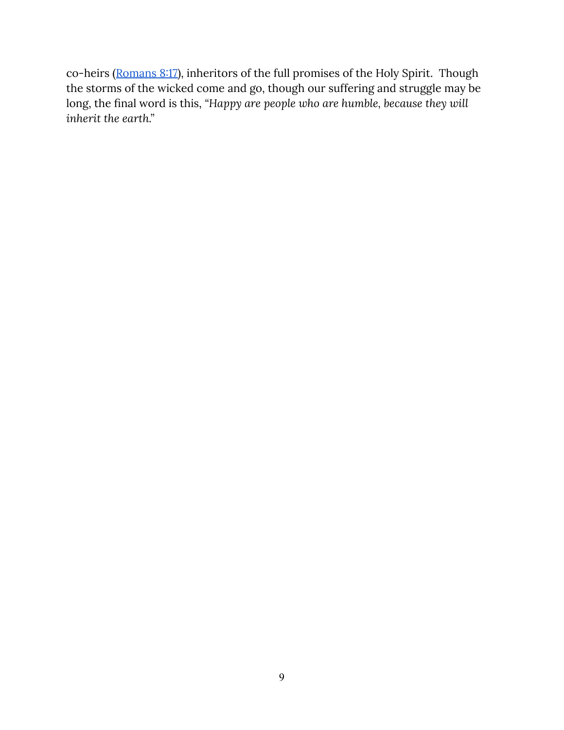co-heirs ([Romans](https://www.biblegateway.com/passage/?search=Romans+8%3A17&version=CEB) 8:17), inheritors of the full promises of the Holy Spirit. Though the storms of the wicked come and go, though our suffering and struggle may be long, the final word is this, *"Happy are people who are humble, because they will inherit the earth."*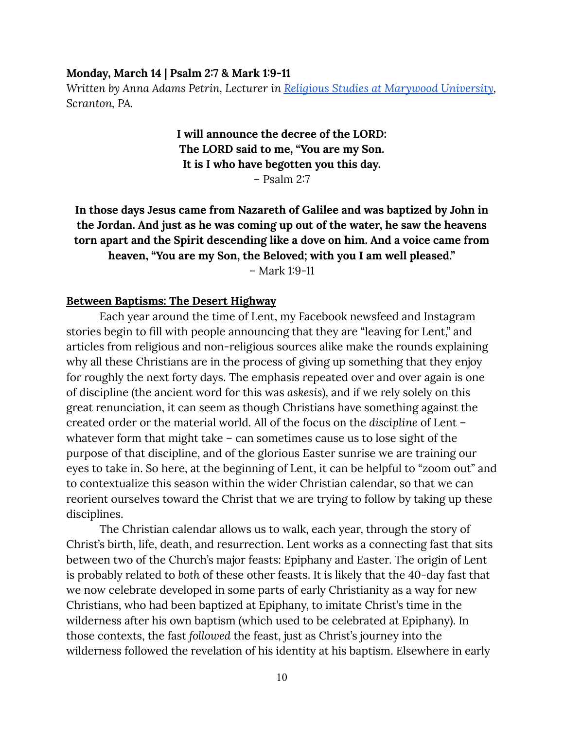#### <span id="page-10-0"></span>**Monday, March 14 | Psalm 2:7 & Mark 1:9-11**

*Written by Anna Adams Petrin, Lecturer in Religious Studies at [Marywood](http://www.marywood.edu/religiousst/faculty/) University, Scranton, PA.*

> **I will announce the decree of the LORD: The LORD said to me, "You are my Son. It is I who have begotten you this day.** – Psalm 2:7

## **In those days Jesus came from Nazareth of Galilee and was baptized by John in the Jordan. And just as he was coming up out of the water, he saw the heavens torn apart and the Spirit descending like a dove on him. And a voice came from heaven, "You are my Son, the Beloved; with you I am well pleased."**

– Mark 1:9-11

#### **Between Baptisms: The Desert Highway**

Each year around the time of Lent, my Facebook newsfeed and Instagram stories begin to fill with people announcing that they are "leaving for Lent," and articles from religious and non-religious sources alike make the rounds explaining why all these Christians are in the process of giving up something that they enjoy for roughly the next forty days. The emphasis repeated over and over again is one of discipline (the ancient word for this was *askesis*), and if we rely solely on this great renunciation, it can seem as though Christians have something against the created order or the material world. All of the focus on the *discipline* of Lent – whatever form that might take – can sometimes cause us to lose sight of the purpose of that discipline, and of the glorious Easter sunrise we are training our eyes to take in. So here, at the beginning of Lent, it can be helpful to "zoom out" and to contextualize this season within the wider Christian calendar, so that we can reorient ourselves toward the Christ that we are trying to follow by taking up these disciplines.

The Christian calendar allows us to walk, each year, through the story of Christ's birth, life, death, and resurrection. Lent works as a connecting fast that sits between two of the Church's major feasts: Epiphany and Easter. The origin of Lent is probably related to *both* of these other feasts. It is likely that the 40-day fast that we now celebrate developed in some parts of early Christianity as a way for new Christians, who had been baptized at Epiphany, to imitate Christ's time in the wilderness after his own baptism (which used to be celebrated at Epiphany). In those contexts, the fast *followed* the feast, just as Christ's journey into the wilderness followed the revelation of his identity at his baptism. Elsewhere in early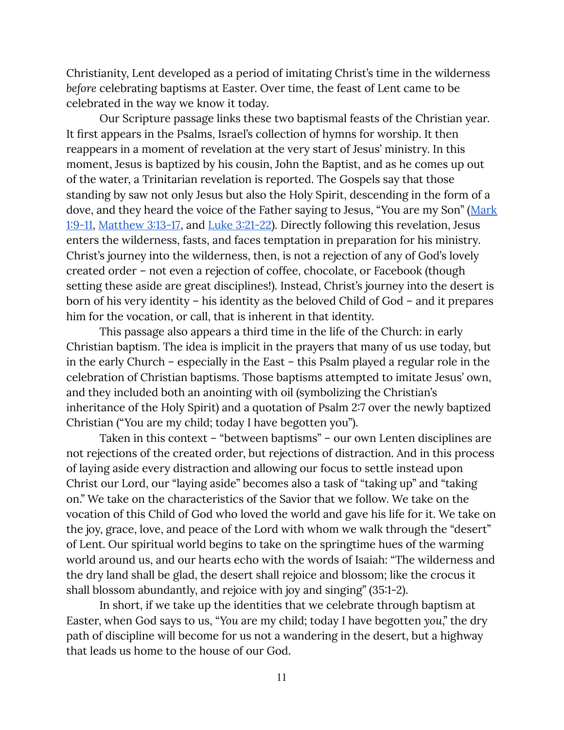Christianity, Lent developed as a period of imitating Christ's time in the wilderness *before* celebrating baptisms at Easter. Over time, the feast of Lent came to be celebrated in the way we know it today.

Our Scripture passage links these two baptismal feasts of the Christian year. It first appears in the Psalms, Israel's collection of hymns for worship. It then reappears in a moment of revelation at the very start of Jesus' ministry. In this moment, Jesus is baptized by his cousin, John the Baptist, and as he comes up out of the water, a Trinitarian revelation is reported. The Gospels say that those standing by saw not only Jesus but also the Holy Spirit, descending in the form of a dove, and they heard the voice of the Father saying to Jesus, "You are my Son" ([Mark](https://www.biblegateway.com/passage/?search=Mark+1%3A9-11&version=CEB) [1:9-11,](https://www.biblegateway.com/passage/?search=Mark+1%3A9-11&version=CEB) [Matthew](https://www.biblegateway.com/passage/?search=Matthew+3%3A13-17&version=CEB) 3:13-17, and Luke [3:21-22\)](https://www.biblegateway.com/passage/?search=Luke+3%3A21-22&version=CEB). Directly following this revelation, Jesus enters the wilderness, fasts, and faces temptation in preparation for his ministry. Christ's journey into the wilderness, then, is not a rejection of any of God's lovely created order – not even a rejection of coffee, chocolate, or Facebook (though setting these aside are great disciplines!). Instead, Christ's journey into the desert is born of his very identity – his identity as the beloved Child of God – and it prepares him for the vocation, or call, that is inherent in that identity.

This passage also appears a third time in the life of the Church: in early Christian baptism. The idea is implicit in the prayers that many of us use today, but in the early Church – especially in the East – this Psalm played a regular role in the celebration of Christian baptisms. Those baptisms attempted to imitate Jesus' own, and they included both an anointing with oil (symbolizing the Christian's inheritance of the Holy Spirit) and a quotation of Psalm 2:7 over the newly baptized Christian ("You are my child; today I have begotten you").

Taken in this context – "between baptisms" – our own Lenten disciplines are not rejections of the created order, but rejections of distraction. And in this process of laying aside every distraction and allowing our focus to settle instead upon Christ our Lord, our "laying aside" becomes also a task of "taking up" and "taking on." We take on the characteristics of the Savior that we follow. We take on the vocation of this Child of God who loved the world and gave his life for it. We take on the joy, grace, love, and peace of the Lord with whom we walk through the "desert" of Lent. Our spiritual world begins to take on the springtime hues of the warming world around us, and our hearts echo with the words of Isaiah: "The wilderness and the dry land shall be glad, the desert shall rejoice and blossom; like the crocus it shall blossom abundantly, and rejoice with joy and singing" (35:1-2).

In short, if we take up the identities that we celebrate through baptism at Easter, when God says to us, "*You* are my child; today I have begotten *you*," the dry path of discipline will become for us not a wandering in the desert, but a highway that leads us home to the house of our God.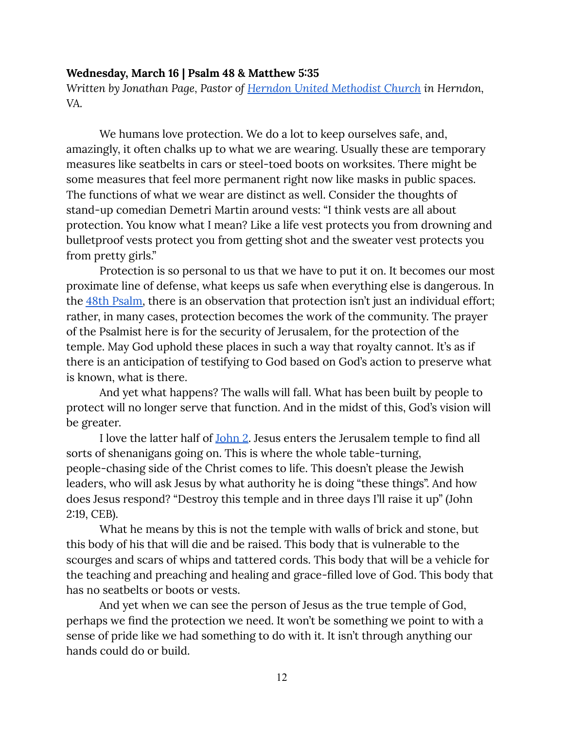#### <span id="page-12-0"></span>**Wednesday, March 16 | Psalm 48 & Matthew 5:35**

*Written by Jonathan Page, Pastor of Herndon United [Methodist](https://herndonumc.org/) Church in Herndon, VA.*

We humans love protection. We do a lot to keep ourselves safe, and, amazingly, it often chalks up to what we are wearing. Usually these are temporary measures like seatbelts in cars or steel-toed boots on worksites. There might be some measures that feel more permanent right now like masks in public spaces. The functions of what we wear are distinct as well. Consider the thoughts of stand-up comedian Demetri Martin around vests: "I think vests are all about protection. You know what I mean? Like a life vest protects you from drowning and bulletproof vests protect you from getting shot and the sweater vest protects you from pretty girls."

Protection is so personal to us that we have to put it on. It becomes our most proximate line of defense, what keeps us safe when everything else is dangerous. In the 48th [Psalm,](https://www.biblegateway.com/passage/?search=Psalm+48&version=CEB) there is an observation that protection isn't just an individual effort; rather, in many cases, protection becomes the work of the community. The prayer of the Psalmist here is for the security of Jerusalem, for the protection of the temple. May God uphold these places in such a way that royalty cannot. It's as if there is an anticipation of testifying to God based on God's action to preserve what is known, what is there.

And yet what happens? The walls will fall. What has been built by people to protect will no longer serve that function. And in the midst of this, God's vision will be greater.

I love the latter half of [John](https://www.biblegateway.com/passage/?search=John+2%3A+13-25&version=CEB) 2. Jesus enters the Jerusalem temple to find all sorts of shenanigans going on. This is where the whole table-turning, people-chasing side of the Christ comes to life. This doesn't please the Jewish leaders, who will ask Jesus by what authority he is doing "these things". And how does Jesus respond? "Destroy this temple and in three days I'll raise it up" (John 2:19, CEB).

What he means by this is not the temple with walls of brick and stone, but this body of his that will die and be raised. This body that is vulnerable to the scourges and scars of whips and tattered cords. This body that will be a vehicle for the teaching and preaching and healing and grace-filled love of God. This body that has no seatbelts or boots or vests.

And yet when we can see the person of Jesus as the true temple of God, perhaps we find the protection we need. It won't be something we point to with a sense of pride like we had something to do with it. It isn't through anything our hands could do or build.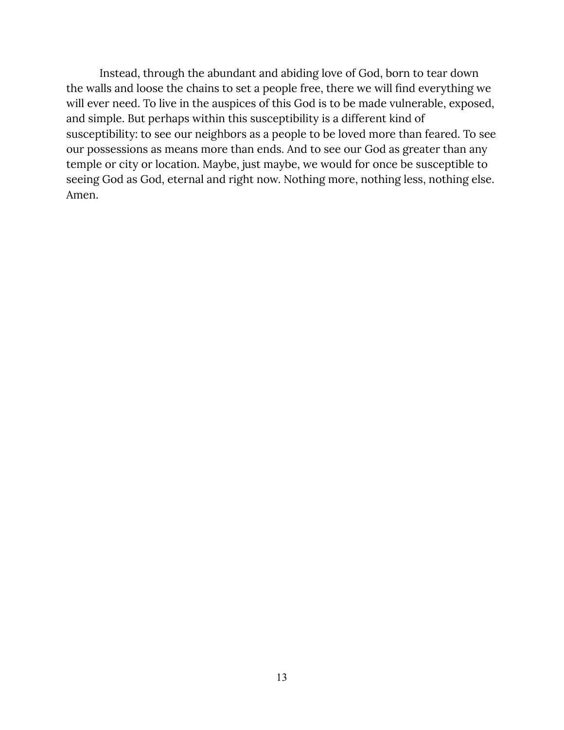Instead, through the abundant and abiding love of God, born to tear down the walls and loose the chains to set a people free, there we will find everything we will ever need. To live in the auspices of this God is to be made vulnerable, exposed, and simple. But perhaps within this susceptibility is a different kind of susceptibility: to see our neighbors as a people to be loved more than feared. To see our possessions as means more than ends. And to see our God as greater than any temple or city or location. Maybe, just maybe, we would for once be susceptible to seeing God as God, eternal and right now. Nothing more, nothing less, nothing else. Amen.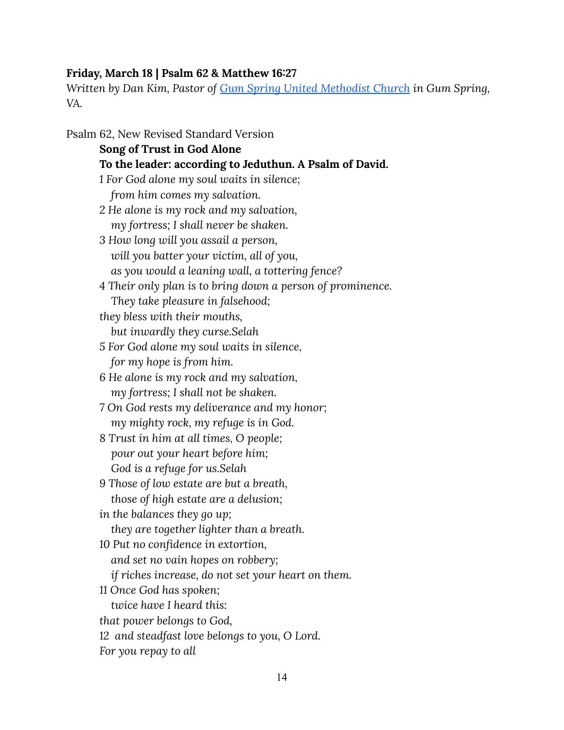## <span id="page-14-0"></span>**Friday, March 18 | Psalm 62 & Matthew 16:27**

*Written by Dan Kim, Pastor of Gum Spring United [Methodist](https://gumspringumc.org/wp_test/) Church in Gum Spring, VA.*

Psalm 62, New Revised Standard Version **Song of Trust in God Alone To the leader: according to Jeduthun. A Psalm of David.** *1 For God alone my soul waits in silence; from him comes my salvation. 2 He alone is my rock and my salvation, my fortress; I shall never be shaken. 3 How long will you assail a person, will you batter your victim, all of you, as you would a leaning wall, a tottering fence? 4 Their only plan is to bring down a person of prominence. They take pleasure in falsehood; they bless with their mouths, but inwardly they curse.Selah 5 For God alone my soul waits in silence, for my hope is from him. 6 He alone is my rock and my salvation, my fortress; I shall not be shaken. 7 On God rests my deliverance and my honor; my mighty rock, my refuge is in God. 8 Trust in him at all times, O people; pour out your heart before him; God is a refuge for us.Selah 9 Those of low estate are but a breath, those of high estate are a delusion; in the balances they go up; they are together lighter than a breath. 10 Put no confidence in extortion, and set no vain hopes on robbery; if riches increase, do not set your heart on them. 11 Once God has spoken; twice have I heard this: that power belongs to God, 12 and steadfast love belongs to you, O Lord. For you repay to all*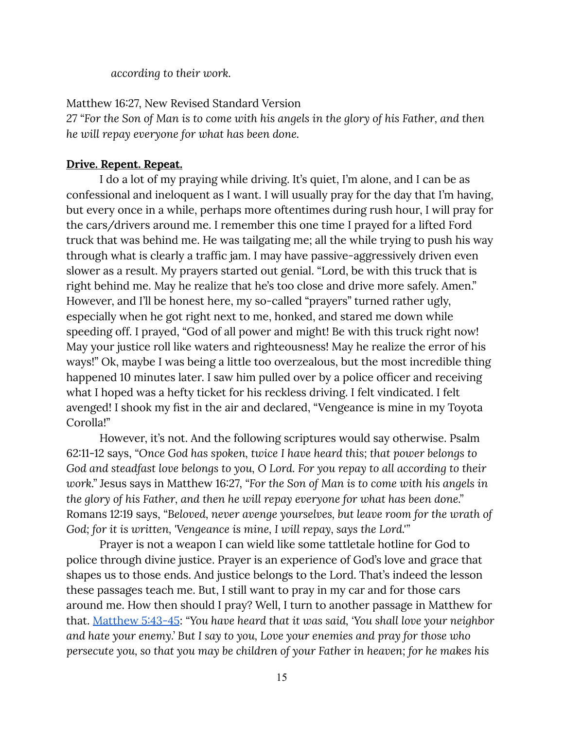*according to their work.*

Matthew 16:27, New Revised Standard Version

27 "For the Son of Man is to come with his angels in the glory of his Father, and then *he will repay everyone for what has been done.*

## **Drive. Repent. Repeat.**

I do a lot of my praying while driving. It's quiet, I'm alone, and I can be as confessional and ineloquent as I want. I will usually pray for the day that I'm having, but every once in a while, perhaps more oftentimes during rush hour, I will pray for the cars/drivers around me. I remember this one time I prayed for a lifted Ford truck that was behind me. He was tailgating me; all the while trying to push his way through what is clearly a traffic jam. I may have passive-aggressively driven even slower as a result. My prayers started out genial. "Lord, be with this truck that is right behind me. May he realize that he's too close and drive more safely. Amen." However, and I'll be honest here, my so-called "prayers" turned rather ugly, especially when he got right next to me, honked, and stared me down while speeding off. I prayed, "God of all power and might! Be with this truck right now! May your justice roll like waters and righteousness! May he realize the error of his ways!" Ok, maybe I was being a little too overzealous, but the most incredible thing happened 10 minutes later. I saw him pulled over by a police officer and receiving what I hoped was a hefty ticket for his reckless driving. I felt vindicated. I felt avenged! I shook my fist in the air and declared, "Vengeance is mine in my Toyota Corolla!"

However, it's not. And the following scriptures would say otherwise. Psalm 62:11-12 says, *"Once God has spoken, twice I have heard this; that power belongs to God and steadfast love belongs to you, O Lord. For you repay to all according to their work."* Jesus says in Matthew 16:27, *"For the Son of Man is to come with his angels in the glory of his Father, and then he will repay everyone for what has been done."* Romans 12:19 says, *"Beloved, never avenge yourselves, but leave room for the wrath of God; for it is written, 'Vengeance is mine, I will repay, says the Lord.'"*

Prayer is not a weapon I can wield like some tattletale hotline for God to police through divine justice. Prayer is an experience of God's love and grace that shapes us to those ends. And justice belongs to the Lord. That's indeed the lesson these passages teach me. But, I still want to pray in my car and for those cars around me. How then should I pray? Well, I turn to another passage in Matthew for that. [Matthew](https://www.biblegateway.com/passage/?search=Matthew+5%3A43-45&version=CEB) 5:43-45: *"You have heard that it was said, 'You shall love your neighbor and hate your enemy.' But I say to you, Love your enemies and pray for those who persecute you, so that you may be children of your Father in heaven; for he makes his*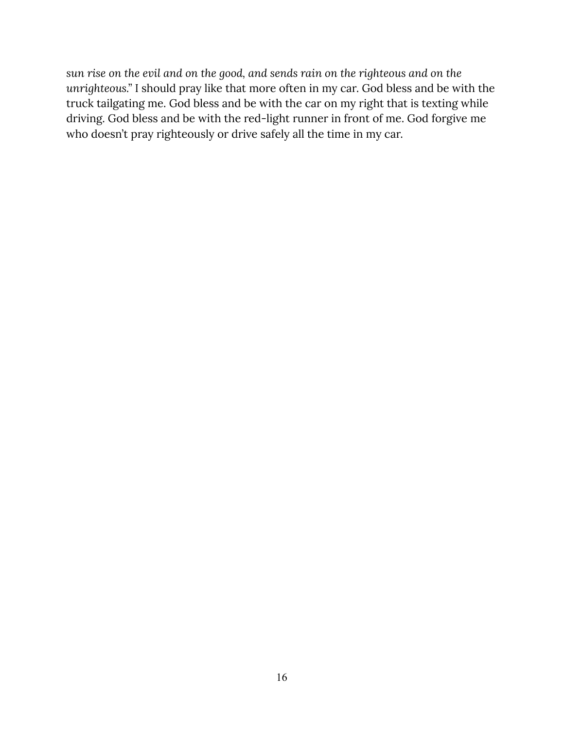*sun rise on the evil and on the good, and sends rain on the righteous and on the unrighteous."* I should pray like that more often in my car. God bless and be with the truck tailgating me. God bless and be with the car on my right that is texting while driving. God bless and be with the red-light runner in front of me. God forgive me who doesn't pray righteously or drive safely all the time in my car.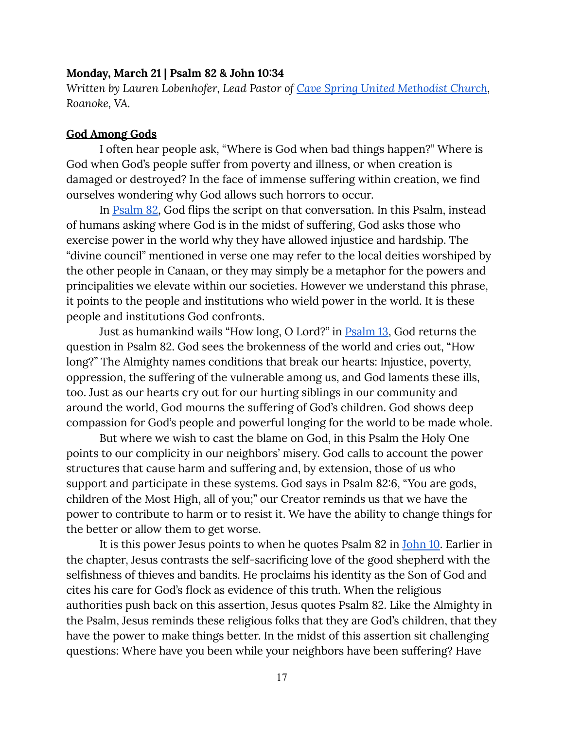#### <span id="page-17-0"></span>**Monday, March 21 | Psalm 82 & John 10:34**

*Written by Lauren Lobenhofer, Lead Pastor of Cave Spring United [Methodist](https://www.cavespringumc.org/) Church, Roanoke, VA.*

#### **God Among Gods**

I often hear people ask, "Where is God when bad things happen?" Where is God when God's people suffer from poverty and illness, or when creation is damaged or destroyed? In the face of immense suffering within creation, we find ourselves wondering why God allows such horrors to occur.

In [Psalm](https://www.biblegateway.com/passage/?search=psalm+82&version=CEB) 82, God flips the script on that conversation. In this Psalm, instead of humans asking where God is in the midst of suffering, God asks those who exercise power in the world why they have allowed injustice and hardship. The "divine council" mentioned in verse one may refer to the local deities worshiped by the other people in Canaan, or they may simply be a metaphor for the powers and principalities we elevate within our societies. However we understand this phrase, it points to the people and institutions who wield power in the world. It is these people and institutions God confronts.

Just as humankind wails "How long, O Lord?" in [Psalm](https://www.biblegateway.com/passage/?search=Psalm+13&version=CEB) 13, God returns the question in Psalm 82. God sees the brokenness of the world and cries out, "How long?" The Almighty names conditions that break our hearts: Injustice, poverty, oppression, the suffering of the vulnerable among us, and God laments these ills, too. Just as our hearts cry out for our hurting siblings in our community and around the world, God mourns the suffering of God's children. God shows deep compassion for God's people and powerful longing for the world to be made whole.

But where we wish to cast the blame on God, in this Psalm the Holy One points to our complicity in our neighbors' misery. God calls to account the power structures that cause harm and suffering and, by extension, those of us who support and participate in these systems. God says in Psalm 82:6, "You are gods, children of the Most High, all of you;" our Creator reminds us that we have the power to contribute to harm or to resist it. We have the ability to change things for the better or allow them to get worse.

It is this power Jesus points to when he quotes Psalm 82 in [John](https://www.biblegateway.com/passage/?search=john+10&version=CEB) 10. Earlier in the chapter, Jesus contrasts the self-sacrificing love of the good shepherd with the selfishness of thieves and bandits. He proclaims his identity as the Son of God and cites his care for God's flock as evidence of this truth. When the religious authorities push back on this assertion, Jesus quotes Psalm 82. Like the Almighty in the Psalm, Jesus reminds these religious folks that they are God's children, that they have the power to make things better. In the midst of this assertion sit challenging questions: Where have you been while your neighbors have been suffering? Have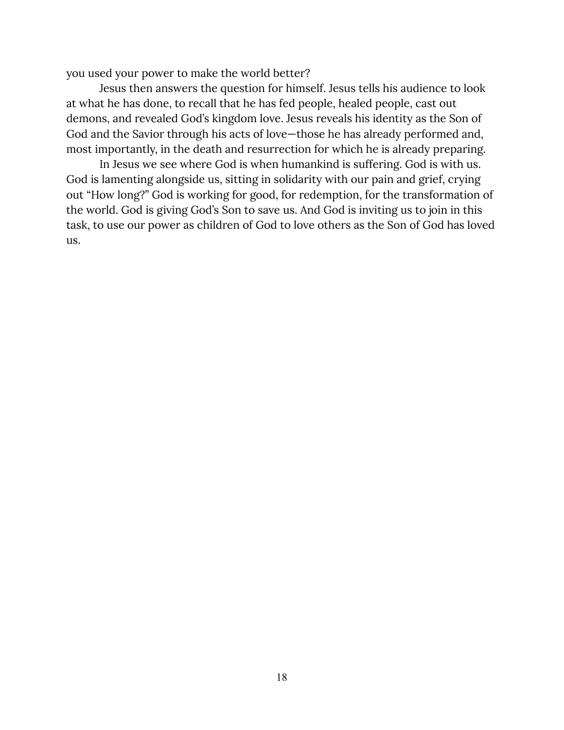you used your power to make the world better?

Jesus then answers the question for himself. Jesus tells his audience to look at what he has done, to recall that he has fed people, healed people, cast out demons, and revealed God's kingdom love. Jesus reveals his identity as the Son of God and the Savior through his acts of love—those he has already performed and, most importantly, in the death and resurrection for which he is already preparing.

In Jesus we see where God is when humankind is suffering. God is with us. God is lamenting alongside us, sitting in solidarity with our pain and grief, crying out "How long?" God is working for good, for redemption, for the transformation of the world. God is giving God's Son to save us. And God is inviting us to join in this task, to use our power as children of God to love others as the Son of God has loved us.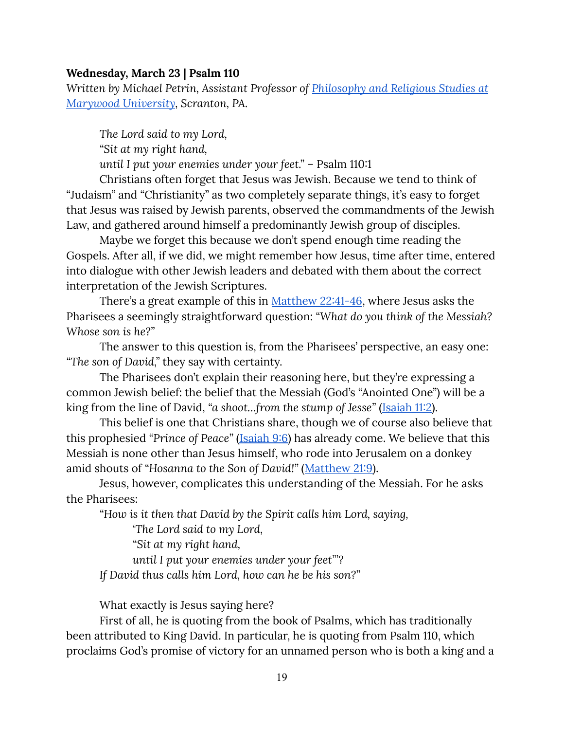#### <span id="page-19-0"></span>**Wednesday, March 23 | Psalm 110**

*Written by Michael Petrin, Assistant Professor of [Philosophy](http://www.marywood.edu/religiousst/faculty/) and Religious Studies at [Marywood](http://www.marywood.edu/religiousst/faculty/) University, Scranton, PA.*

*The Lord said to my Lord, "Sit at my right hand, until I put your enemies under your feet."* – Psalm 110:1

Christians often forget that Jesus was Jewish. Because we tend to think of "Judaism" and "Christianity" as two completely separate things, it's easy to forget that Jesus was raised by Jewish parents, observed the commandments of the Jewish Law, and gathered around himself a predominantly Jewish group of disciples.

Maybe we forget this because we don't spend enough time reading the Gospels. After all, if we did, we might remember how Jesus, time after time, entered into dialogue with other Jewish leaders and debated with them about the correct interpretation of the Jewish Scriptures.

There's a great example of this in [Matthew](https://www.biblegateway.com/passage/?search=Matthew+22%3A41-46&version=CEB) 22:41-46, where Jesus asks the Pharisees a seemingly straightforward question: *"What do you think of the Messiah? Whose son is he?"*

The answer to this question is, from the Pharisees' perspective, an easy one: *"The son of David,"* they say with certainty.

The Pharisees don't explain their reasoning here, but they're expressing a common Jewish belief: the belief that the Messiah (God's "Anointed One") will be a king from the line of David, *"a shoot…from the stump of Jesse"* [\(Isaiah](https://www.biblegateway.com/passage/?search=Isaiah+11%3A2&version=CEB) 11:2).

This belief is one that Christians share, though we of course also believe that this prophesied *"Prince of Peace"* [\(Isaiah](https://www.biblegateway.com/passage/?search=Isaiah+9%3A6&version=CEB) 9:6) has already come. We believe that this Messiah is none other than Jesus himself, who rode into Jerusalem on a donkey amid shouts of *"Hosanna to the Son of David!"* ([Matthew](https://www.biblegateway.com/passage/?search=Matt+21%3A9&version=CEB) 21:9).

Jesus, however, complicates this understanding of the Messiah. For he asks the Pharisees:

*"How is it then that David by the Spirit calls him Lord, saying,*

*'The Lord said to my Lord,*

*"Sit at my right hand,*

*until I put your enemies under your feet"'?*

*If David thus calls him Lord, how can he be his son?"*

What exactly is Jesus saying here?

First of all, he is quoting from the book of Psalms, which has traditionally been attributed to King David. In particular, he is quoting from Psalm 110, which proclaims God's promise of victory for an unnamed person who is both a king and a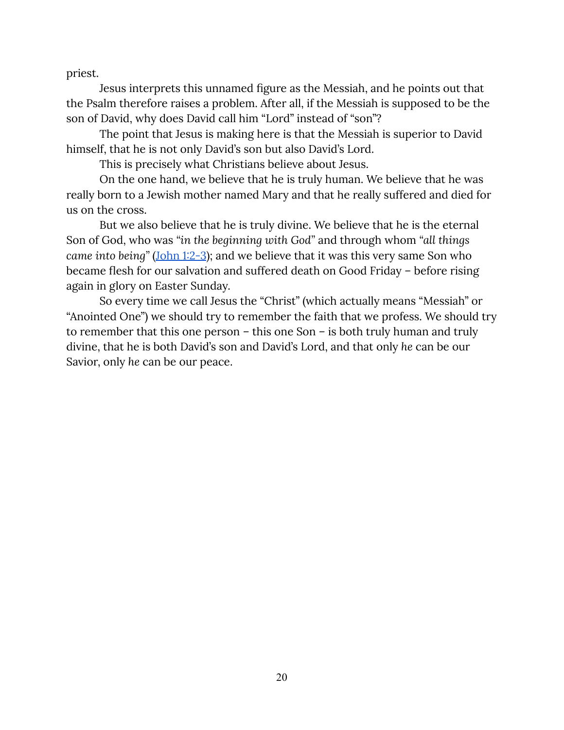priest.

Jesus interprets this unnamed figure as the Messiah, and he points out that the Psalm therefore raises a problem. After all, if the Messiah is supposed to be the son of David, why does David call him "Lord" instead of "son"?

The point that Jesus is making here is that the Messiah is superior to David himself, that he is not only David's son but also David's Lord.

This is precisely what Christians believe about Jesus.

On the one hand, we believe that he is truly human. We believe that he was really born to a Jewish mother named Mary and that he really suffered and died for us on the cross.

But we also believe that he is truly divine. We believe that he is the eternal Son of God, who was *"in the beginning with God"* and through whom *"all things came into being"* [\(John](https://www.biblegateway.com/passage/?search=John+1%3A2-3&version=CEB) 1:2-3); and we believe that it was this very same Son who became flesh for our salvation and suffered death on Good Friday – before rising again in glory on Easter Sunday.

So every time we call Jesus the "Christ" (which actually means "Messiah" or "Anointed One") we should try to remember the faith that we profess. We should try to remember that this one person – this one Son – is both truly human and truly divine, that he is both David's son and David's Lord, and that only *he* can be our Savior, only *he* can be our peace.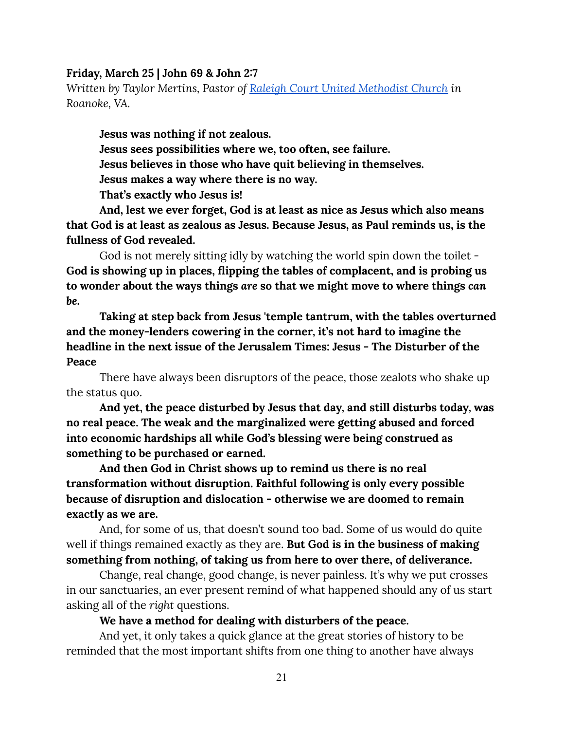#### <span id="page-21-0"></span>**Friday, March 25 | John 69 & John 2:7**

*Written by Taylor Mertins, Pastor of Raleigh Court United [Methodist](https://rcumc.org/) Church in Roanoke, VA.*

**Jesus was nothing if not zealous. Jesus sees possibilities where we, too often, see failure. Jesus believes in those who have quit believing in themselves. Jesus makes a way where there is no way. That's exactly who Jesus is!**

**And, lest we ever forget, God is at least as nice as Jesus which also means that God is at least as zealous as Jesus. Because Jesus, as Paul reminds us, is the fullness of God revealed.**

God is not merely sitting idly by watching the world spin down the toilet - **God is showing up in places, flipping the tables of complacent, and is probing us to wonder about the ways things** *are* **so that we might move to where things** *can be***.**

**Taking at step back from Jesus 'temple tantrum, with the tables overturned and the money-lenders cowering in the corner, it's not hard to imagine the headline in the next issue of the Jerusalem Times: Jesus - The Disturber of the Peace**

There have always been disruptors of the peace, those zealots who shake up the status quo.

**And yet, the peace disturbed by Jesus that day, and still disturbs today, was no real peace. The weak and the marginalized were getting abused and forced into economic hardships all while God's blessing were being construed as something to be purchased or earned.**

**And then God in Christ shows up to remind us there is no real transformation without disruption. Faithful following is only every possible because of disruption and dislocation - otherwise we are doomed to remain exactly as we are.**

And, for some of us, that doesn't sound too bad. Some of us would do quite well if things remained exactly as they are. **But God is in the business of making something from nothing, of taking us from here to over there, of deliverance.**

Change, real change, good change, is never painless. It's why we put crosses in our sanctuaries, an ever present remind of what happened should any of us start asking all of the *right* questions.

**We have a method for dealing with disturbers of the peace.**

And yet, it only takes a quick glance at the great stories of history to be reminded that the most important shifts from one thing to another have always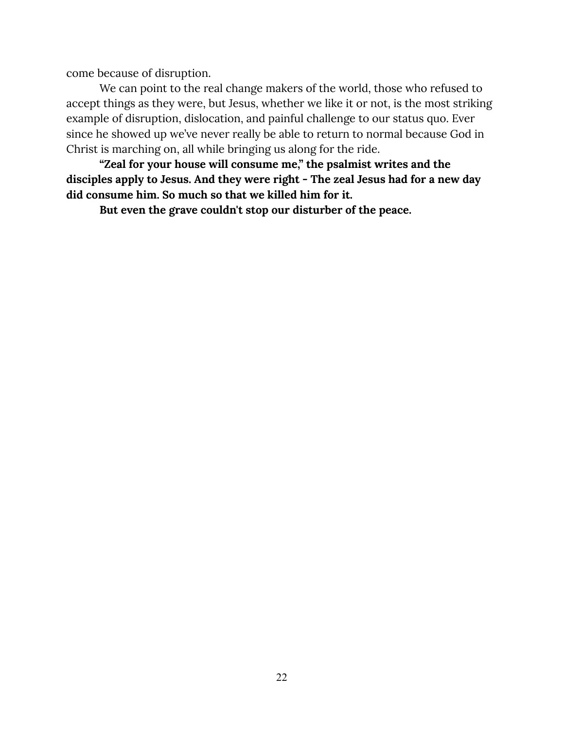come because of disruption.

We can point to the real change makers of the world, those who refused to accept things as they were, but Jesus, whether we like it or not, is the most striking example of disruption, dislocation, and painful challenge to our status quo. Ever since he showed up we've never really be able to return to normal because God in Christ is marching on, all while bringing us along for the ride.

**"Zeal for your house will consume me," the psalmist writes and the disciples apply to Jesus. And they were right - The zeal Jesus had for a new day did consume him. So much so that we killed him for it.**

**But even the grave couldn't stop our disturber of the peace.**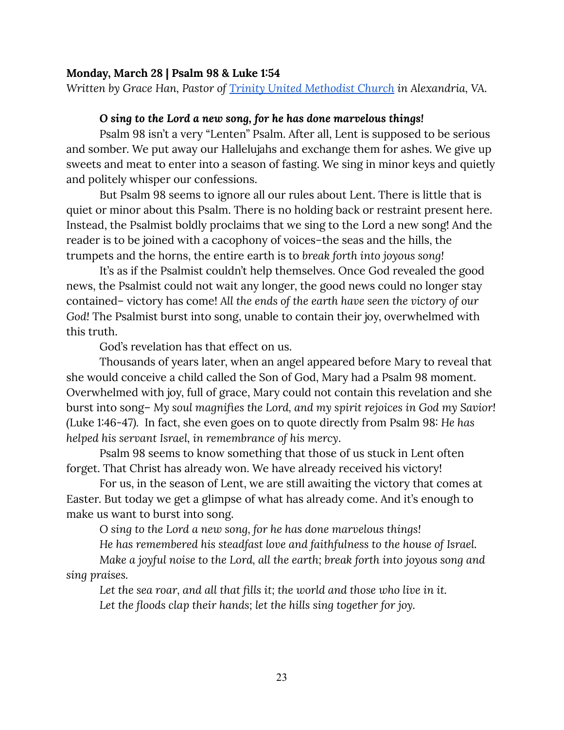#### <span id="page-23-0"></span>**Monday, March 28 | Psalm 98 & Luke 1:54**

*Written by Grace Han, Pastor of Trinity United [Methodist](https://www.trinityalexandria.org/) Church in Alexandria, VA.*

#### *O sing to the Lord a new song, for he has done marvelous things!*

Psalm 98 isn't a very "Lenten" Psalm. After all, Lent is supposed to be serious and somber. We put away our Hallelujahs and exchange them for ashes. We give up sweets and meat to enter into a season of fasting. We sing in minor keys and quietly and politely whisper our confessions.

But Psalm 98 seems to ignore all our rules about Lent. There is little that is quiet or minor about this Psalm. There is no holding back or restraint present here. Instead, the Psalmist boldly proclaims that we sing to the Lord a new song! And the reader is to be joined with a cacophony of voices–the seas and the hills, the trumpets and the horns, the entire earth is to *break forth into joyous song!*

It's as if the Psalmist couldn't help themselves. Once God revealed the good news, the Psalmist could not wait any longer, the good news could no longer stay contained– victory has come! *All the ends of the earth have seen the victory of our God!* The Psalmist burst into song, unable to contain their joy, overwhelmed with this truth.

God's revelation has that effect on us.

Thousands of years later, when an angel appeared before Mary to reveal that she would conceive a child called the Son of God, Mary had a Psalm 98 moment. Overwhelmed with joy, full of grace, Mary could not contain this revelation and she burst into song– *My soul magnifies the Lord, and my spirit rejoices in God my Savior! (*Luke 1:46-47*).* In fact, she even goes on to quote directly from Psalm 98: *He has helped his servant Israel, in remembrance of his mercy*.

Psalm 98 seems to know something that those of us stuck in Lent often forget. That Christ has already won. We have already received his victory!

For us, in the season of Lent, we are still awaiting the victory that comes at Easter. But today we get a glimpse of what has already come. And it's enough to make us want to burst into song.

*O sing to the Lord a new song, for he has done marvelous things!*

*He has remembered his steadfast love and faithfulness to the house of Israel.*

*Make a joyful noise to the Lord, all the earth; break forth into joyous song and sing praises.*

*Let the sea roar, and all that fills it; the world and those who live in it. Let the floods clap their hands; let the hills sing together for joy.*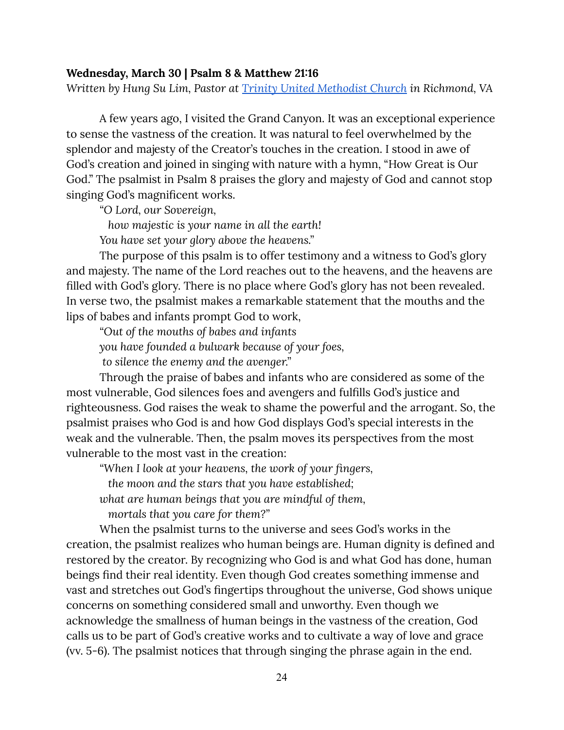#### <span id="page-24-0"></span>**Wednesday, March 30 | Psalm 8 & Matthew 21:16**

*Written by Hung Su Lim, Pastor at Trinity United [Methodist](https://www.trinityumc.net/) Church in Richmond, VA*

A few years ago, I visited the Grand Canyon. It was an exceptional experience to sense the vastness of the creation. It was natural to feel overwhelmed by the splendor and majesty of the Creator's touches in the creation. I stood in awe of God's creation and joined in singing with nature with a hymn, "How Great is Our God." The psalmist in Psalm 8 praises the glory and majesty of God and cannot stop singing God's magnificent works.

*"O Lord, our Sovereign,*

*how majestic is your name in all the earth!*

*You have set your glory above the heavens."*

The purpose of this psalm is to offer testimony and a witness to God's glory and majesty. The name of the Lord reaches out to the heavens, and the heavens are filled with God's glory. There is no place where God's glory has not been revealed. In verse two, the psalmist makes a remarkable statement that the mouths and the lips of babes and infants prompt God to work,

*"Out of the mouths of babes and infants you have founded a bulwark because of your foes,*

*to silence the enemy and the avenger."*

Through the praise of babes and infants who are considered as some of the most vulnerable, God silences foes and avengers and fulfills God's justice and righteousness. God raises the weak to shame the powerful and the arrogant. So, the psalmist praises who God is and how God displays God's special interests in the weak and the vulnerable. Then, the psalm moves its perspectives from the most vulnerable to the most vast in the creation:

*"When I look at your heavens, the work of your fingers,*

*the moon and the stars that you have established;*

*what are human beings that you are mindful of them,*

*mortals that you care for them?"*

When the psalmist turns to the universe and sees God's works in the creation, the psalmist realizes who human beings are. Human dignity is defined and restored by the creator. By recognizing who God is and what God has done, human beings find their real identity. Even though God creates something immense and vast and stretches out God's fingertips throughout the universe, God shows unique concerns on something considered small and unworthy. Even though we acknowledge the smallness of human beings in the vastness of the creation, God calls us to be part of God's creative works and to cultivate a way of love and grace (vv. 5-6). The psalmist notices that through singing the phrase again in the end.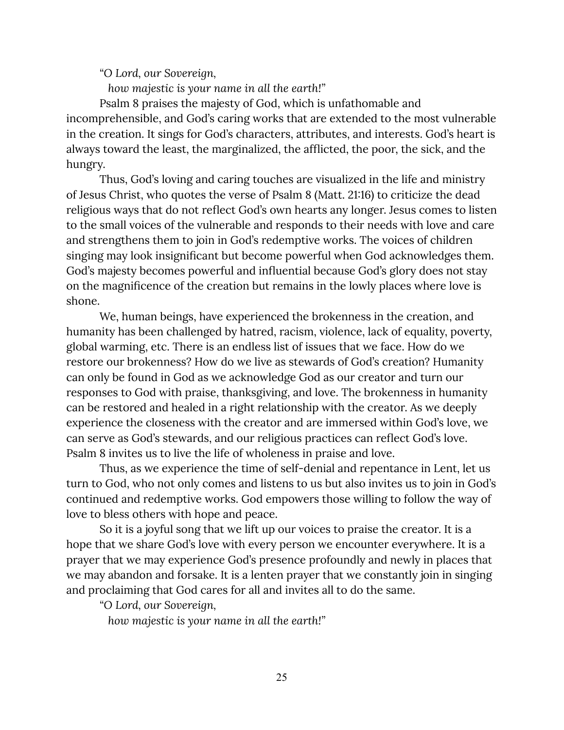*"O Lord, our Sovereign,*

*how majestic is your name in all the earth!"*

Psalm 8 praises the majesty of God, which is unfathomable and incomprehensible, and God's caring works that are extended to the most vulnerable in the creation. It sings for God's characters, attributes, and interests. God's heart is always toward the least, the marginalized, the afflicted, the poor, the sick, and the hungry.

Thus, God's loving and caring touches are visualized in the life and ministry of Jesus Christ, who quotes the verse of Psalm 8 (Matt. 21:16) to criticize the dead religious ways that do not reflect God's own hearts any longer. Jesus comes to listen to the small voices of the vulnerable and responds to their needs with love and care and strengthens them to join in God's redemptive works. The voices of children singing may look insignificant but become powerful when God acknowledges them. God's majesty becomes powerful and influential because God's glory does not stay on the magnificence of the creation but remains in the lowly places where love is shone.

We, human beings, have experienced the brokenness in the creation, and humanity has been challenged by hatred, racism, violence, lack of equality, poverty, global warming, etc. There is an endless list of issues that we face. How do we restore our brokenness? How do we live as stewards of God's creation? Humanity can only be found in God as we acknowledge God as our creator and turn our responses to God with praise, thanksgiving, and love. The brokenness in humanity can be restored and healed in a right relationship with the creator. As we deeply experience the closeness with the creator and are immersed within God's love, we can serve as God's stewards, and our religious practices can reflect God's love. Psalm 8 invites us to live the life of wholeness in praise and love.

Thus, as we experience the time of self-denial and repentance in Lent, let us turn to God, who not only comes and listens to us but also invites us to join in God's continued and redemptive works. God empowers those willing to follow the way of love to bless others with hope and peace.

So it is a joyful song that we lift up our voices to praise the creator. It is a hope that we share God's love with every person we encounter everywhere. It is a prayer that we may experience God's presence profoundly and newly in places that we may abandon and forsake. It is a lenten prayer that we constantly join in singing and proclaiming that God cares for all and invites all to do the same.

*"O Lord, our Sovereign,*

*how majestic is your name in all the earth!"*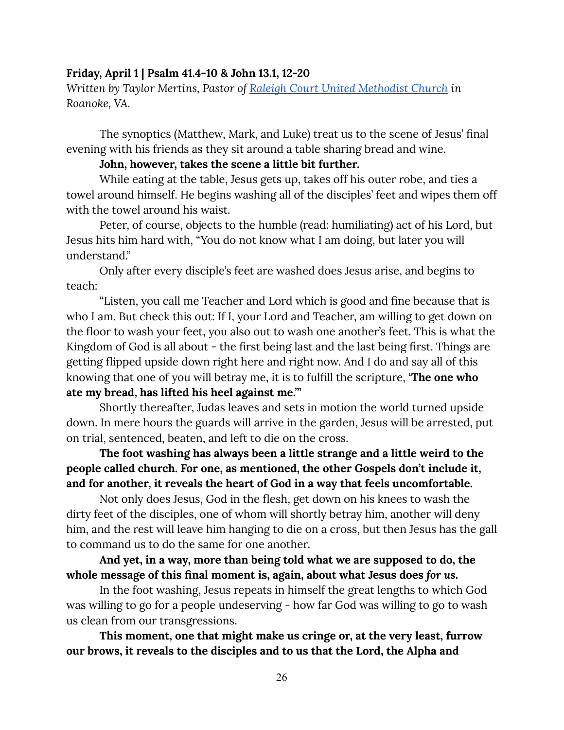#### <span id="page-26-0"></span>**Friday, April 1 | Psalm 41.4-10 & John 13.1, 12-20**

*Written by Taylor Mertins, Pastor of Raleigh Court United [Methodist](https://rcumc.org/) Church in Roanoke, VA.*

The synoptics (Matthew, Mark, and Luke) treat us to the scene of Jesus' final evening with his friends as they sit around a table sharing bread and wine.

#### **John, however, takes the scene a little bit further.**

While eating at the table, Jesus gets up, takes off his outer robe, and ties a towel around himself. He begins washing all of the disciples' feet and wipes them off with the towel around his waist.

Peter, of course, objects to the humble (read: humiliating) act of his Lord, but Jesus hits him hard with, "You do not know what I am doing, but later you will understand."

Only after every disciple's feet are washed does Jesus arise, and begins to teach:

"Listen, you call me Teacher and Lord which is good and fine because that is who I am. But check this out: If I, your Lord and Teacher, am willing to get down on the floor to wash your feet, you also out to wash one another's feet. This is what the Kingdom of God is all about - the first being last and the last being first. Things are getting flipped upside down right here and right now. And I do and say all of this knowing that one of you will betray me, it is to fulfill the scripture, **'The one who ate my bread, has lifted his heel against me.'"**

Shortly thereafter, Judas leaves and sets in motion the world turned upside down. In mere hours the guards will arrive in the garden, Jesus will be arrested, put on trial, sentenced, beaten, and left to die on the cross.

**The foot washing has always been a little strange and a little weird to the people called church. For one, as mentioned, the other Gospels don't include it, and for another, it reveals the heart of God in a way that feels uncomfortable.**

Not only does Jesus, God in the flesh, get down on his knees to wash the dirty feet of the disciples, one of whom will shortly betray him, another will deny him, and the rest will leave him hanging to die on a cross, but then Jesus has the gall to command us to do the same for one another.

**And yet, in a way, more than being told what we are supposed to do, the whole message of this final moment is, again, about what Jesus does** *for us***.**

In the foot washing, Jesus repeats in himself the great lengths to which God was willing to go for a people undeserving - how far God was willing to go to wash us clean from our transgressions.

**This moment, one that might make us cringe or, at the very least, furrow our brows, it reveals to the disciples and to us that the Lord, the Alpha and**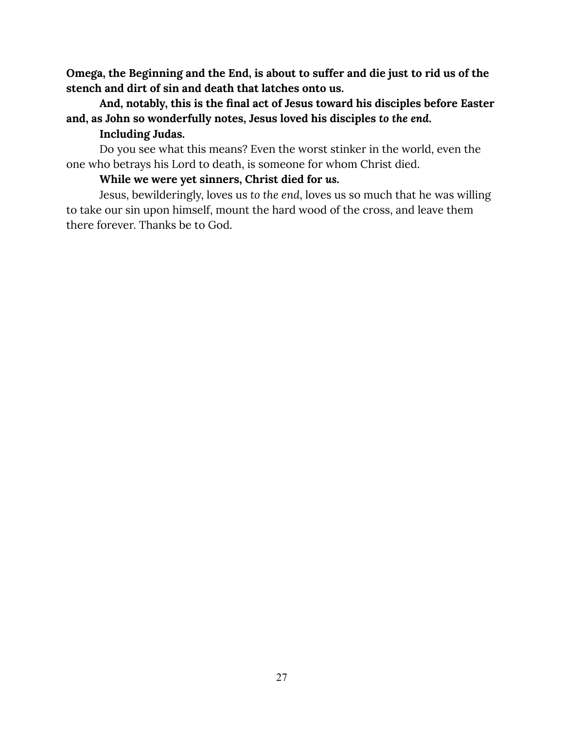**Omega, the Beginning and the End, is about to suffer and die just to rid us of the stench and dirt of sin and death that latches onto us.**

## **And, notably, this is the final act of Jesus toward his disciples before Easter and, as John so wonderfully notes, Jesus loved his disciples** *to the end***.**

## **Including Judas.**

Do you see what this means? Even the worst stinker in the world, even the one who betrays his Lord to death, is someone for whom Christ died.

## **While we were yet sinners, Christ died for** *us.*

Jesus, bewilderingly, loves us *to the end*, loves us so much that he was willing to take our sin upon himself, mount the hard wood of the cross, and leave them there forever. Thanks be to God.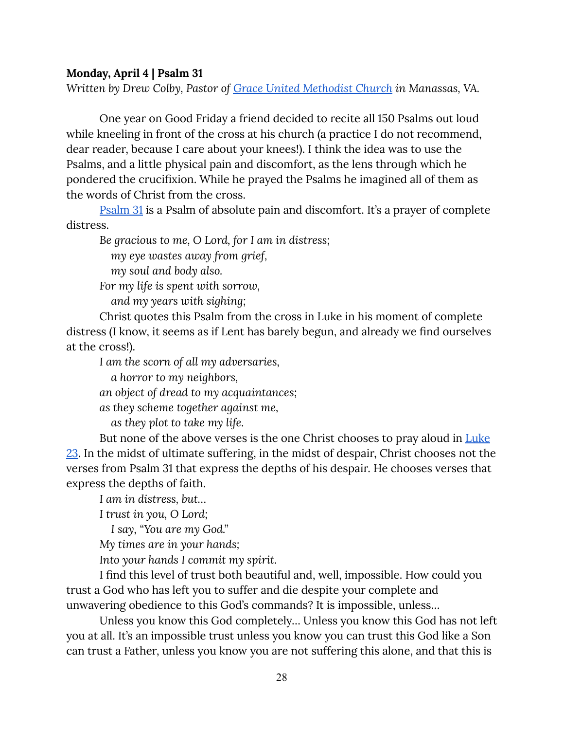#### <span id="page-28-0"></span>**Monday, April 4 | Psalm 31**

*Written by Drew Colby, Pastor of Grace United [Methodist](https://umcgrace.org/) Church in Manassas, VA.*

One year on Good Friday a friend decided to recite all 150 Psalms out loud while kneeling in front of the cross at his church (a practice I do not recommend, dear reader, because I care about your knees!). I think the idea was to use the Psalms, and a little physical pain and discomfort, as the lens through which he pondered the crucifixion. While he prayed the Psalms he imagined all of them as the words of Christ from the cross.

[Psalm](https://www.biblegateway.com/passage/?search=Psalm+31&version=CEB) 31 is a Psalm of absolute pain and discomfort. It's a prayer of complete distress.

*Be gracious to me, O Lord, for I am in distress; my eye wastes away from grief, my soul and body also. For my life is spent with sorrow, and my years with sighing;*

Christ quotes this Psalm from the cross in Luke in his moment of complete distress (I know, it seems as if Lent has barely begun, and already we find ourselves at the cross!).

*I am the scorn of all my adversaries,*

*a horror to my neighbors,*

*an object of dread to my acquaintances;*

*as they scheme together against me,*

*as they plot to take my life.*

But none of the above verses is the one Christ chooses to pray aloud in [Luke](https://www.biblegateway.com/passage/?search=Luke+23&version=CEB) [23.](https://www.biblegateway.com/passage/?search=Luke+23&version=CEB) In the midst of ultimate suffering, in the midst of despair, Christ chooses not the verses from Psalm 31 that express the depths of his despair. He chooses verses that express the depths of faith.

*I am in distress, but…*

*I trust in you, O Lord;*

*I say, "You are my God."*

*My times are in your hands;*

*Into your hands I commit my spirit.*

I find this level of trust both beautiful and, well, impossible. How could you trust a God who has left you to suffer and die despite your complete and unwavering obedience to this God's commands? It is impossible, unless…

Unless you know this God completely… Unless you know this God has not left you at all. It's an impossible trust unless you know you can trust this God like a Son can trust a Father, unless you know you are not suffering this alone, and that this is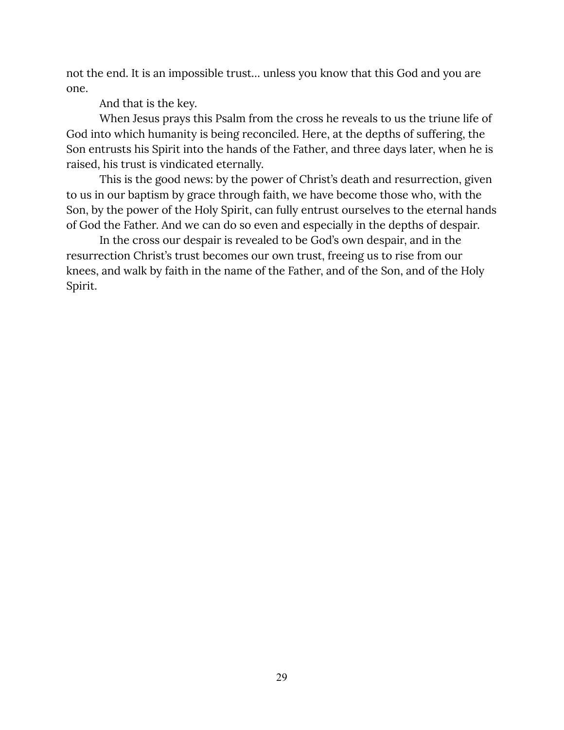not the end. It is an impossible trust… unless you know that this God and you are one.

And that is the key.

When Jesus prays this Psalm from the cross he reveals to us the triune life of God into which humanity is being reconciled. Here, at the depths of suffering, the Son entrusts his Spirit into the hands of the Father, and three days later, when he is raised, his trust is vindicated eternally.

This is the good news: by the power of Christ's death and resurrection, given to us in our baptism by grace through faith, we have become those who, with the Son, by the power of the Holy Spirit, can fully entrust ourselves to the eternal hands of God the Father. And we can do so even and especially in the depths of despair.

In the cross our despair is revealed to be God's own despair, and in the resurrection Christ's trust becomes our own trust, freeing us to rise from our knees, and walk by faith in the name of the Father, and of the Son, and of the Holy Spirit.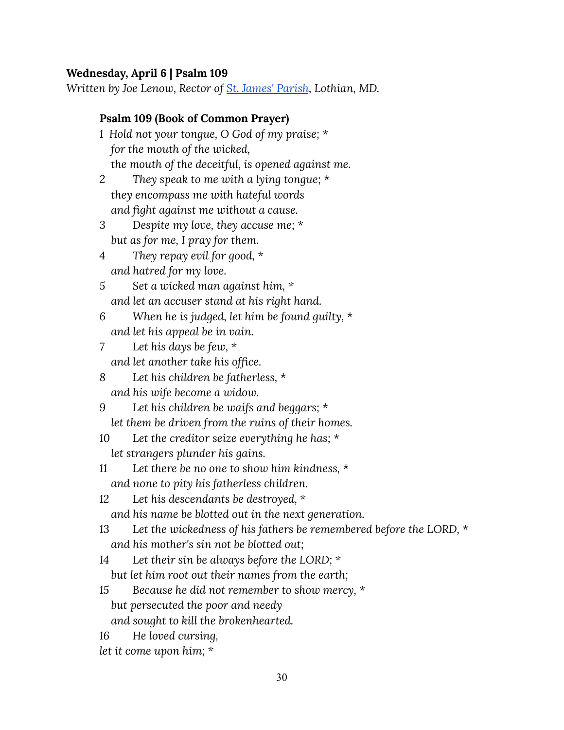## <span id="page-30-0"></span>**Wednesday, April 6 | Psalm 109**

*Written by Joe Lenow, Rector of St. James' [Parish](http://stjameslothian.com/), Lothian, MD.*

| <b>Psalm 109 (Book of Common Prayer)</b>                                   |
|----------------------------------------------------------------------------|
| 1 Hold not your tongue, O God of my praise; *                              |
| for the mouth of the wicked,                                               |
| the mouth of the deceitful, is opened against me.                          |
| They speak to me with a lying tongue; *<br>2                               |
| they encompass me with hateful words                                       |
| and fight against me without a cause.                                      |
| Despite my love, they accuse me; $*$<br>3                                  |
| but as for me, I pray for them.                                            |
| They repay evil for good, $*$<br>4                                         |
| and hatred for my love.                                                    |
| Set a wicked man against him, *<br>5                                       |
| and let an accuser stand at his right hand.                                |
| When he is judged, let him be found guilty, $*$<br>6                       |
| and let his appeal be in vain.                                             |
| Let his days be few, $*$<br>7                                              |
| and let another take his office.                                           |
| Let his children be fatherless, *<br>8                                     |
| and his wife become a widow.                                               |
| Let his children be waifs and beggars; $*$<br>9                            |
| let them be driven from the ruins of their homes.                          |
| Let the creditor seize everything he has; $*$<br>10                        |
| let strangers plunder his gains.                                           |
| Let there be no one to show him kindness, $*$<br>11                        |
| and none to pity his fatherless children.                                  |
| Let his descendants be destroyed, *<br>12                                  |
| and his name be blotted out in the next generation.                        |
| 13<br>Let the wickedness of his fathers be remembered before the LORD, $*$ |
| and his mother's sin not be blotted out;                                   |
| Let their sin be always before the LORD; $*$<br>14                         |
| but let him root out their names from the earth;                           |
| Because he did not remember to show mercy, *<br>15                         |
| but persecuted the poor and needy                                          |
| and sought to kill the brokenhearted.                                      |
| He loved cursing,<br>16                                                    |
| let it come upon him; *                                                    |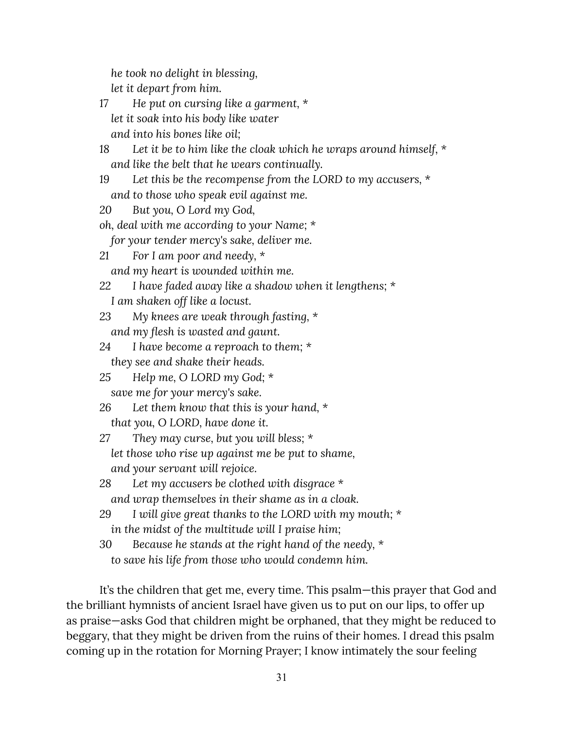*he took no delight in blessing,*

*let it depart from him.*

*17 He put on cursing like a garment, \* let it soak into his body like water and into his bones like oil;*

*18 Let it be to him like the cloak which he wraps around himself, \* and like the belt that he wears continually.*

- *19 Let this be the recompense from the LORD to my accusers, \* and to those who speak evil against me.*
- *20 But you, O Lord my God,*

*oh, deal with me according to your Name; \**

*for your tender mercy's sake, deliver me.*

*21 For I am poor and needy, \**

*and my heart is wounded within me.*

- *22 I have faded away like a shadow when it lengthens; \* I am shaken off like a locust.*
- *23 My knees are weak through fasting, \* and my flesh is wasted and gaunt.*
- *24 I have become a reproach to them; \* they see and shake their heads.*
- *25 Help me, O LORD my God; \* save me for your mercy's sake.*
- *26 Let them know that this is your hand, \* that you, O LORD, have done it.*
- *27 They may curse, but you will bless; \* let those who rise up against me be put to shame, and your servant will rejoice.*
- *28 Let my accusers be clothed with disgrace \* and wrap themselves in their shame as in a cloak.*
- *29 I will give great thanks to the LORD with my mouth; \* in the midst of the multitude will I praise him;*
- *30 Because he stands at the right hand of the needy, \* to save his life from those who would condemn him.*

It's the children that get me, every time. This psalm—this prayer that God and the brilliant hymnists of ancient Israel have given us to put on our lips, to offer up as praise—asks God that children might be orphaned, that they might be reduced to beggary, that they might be driven from the ruins of their homes. I dread this psalm coming up in the rotation for Morning Prayer; I know intimately the sour feeling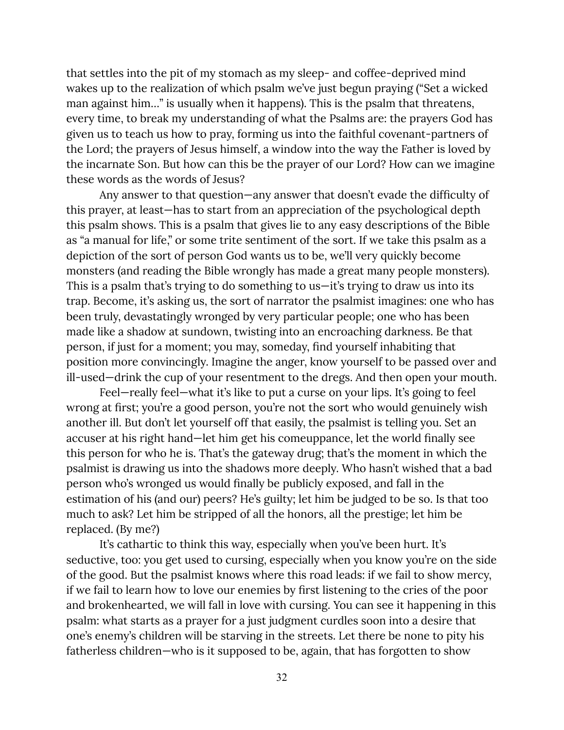that settles into the pit of my stomach as my sleep- and coffee-deprived mind wakes up to the realization of which psalm we've just begun praying ("Set a wicked man against him…" is usually when it happens). This is the psalm that threatens, every time, to break my understanding of what the Psalms are: the prayers God has given us to teach us how to pray, forming us into the faithful covenant-partners of the Lord; the prayers of Jesus himself, a window into the way the Father is loved by the incarnate Son. But how can this be the prayer of our Lord? How can we imagine these words as the words of Jesus?

Any answer to that question—any answer that doesn't evade the difficulty of this prayer, at least—has to start from an appreciation of the psychological depth this psalm shows. This is a psalm that gives lie to any easy descriptions of the Bible as "a manual for life," or some trite sentiment of the sort. If we take this psalm as a depiction of the sort of person God wants us to be, we'll very quickly become monsters (and reading the Bible wrongly has made a great many people monsters). This is a psalm that's trying to do something to us—it's trying to draw us into its trap. Become, it's asking us, the sort of narrator the psalmist imagines: one who has been truly, devastatingly wronged by very particular people; one who has been made like a shadow at sundown, twisting into an encroaching darkness. Be that person, if just for a moment; you may, someday, find yourself inhabiting that position more convincingly. Imagine the anger, know yourself to be passed over and ill-used—drink the cup of your resentment to the dregs. And then open your mouth.

Feel—really feel—what it's like to put a curse on your lips. It's going to feel wrong at first; you're a good person, you're not the sort who would genuinely wish another ill. But don't let yourself off that easily, the psalmist is telling you. Set an accuser at his right hand—let him get his comeuppance, let the world finally see this person for who he is. That's the gateway drug; that's the moment in which the psalmist is drawing us into the shadows more deeply. Who hasn't wished that a bad person who's wronged us would finally be publicly exposed, and fall in the estimation of his (and our) peers? He's guilty; let him be judged to be so. Is that too much to ask? Let him be stripped of all the honors, all the prestige; let him be replaced. (By me?)

It's cathartic to think this way, especially when you've been hurt. It's seductive, too: you get used to cursing, especially when you know you're on the side of the good. But the psalmist knows where this road leads: if we fail to show mercy, if we fail to learn how to love our enemies by first listening to the cries of the poor and brokenhearted, we will fall in love with cursing. You can see it happening in this psalm: what starts as a prayer for a just judgment curdles soon into a desire that one's enemy's children will be starving in the streets. Let there be none to pity his fatherless children—who is it supposed to be, again, that has forgotten to show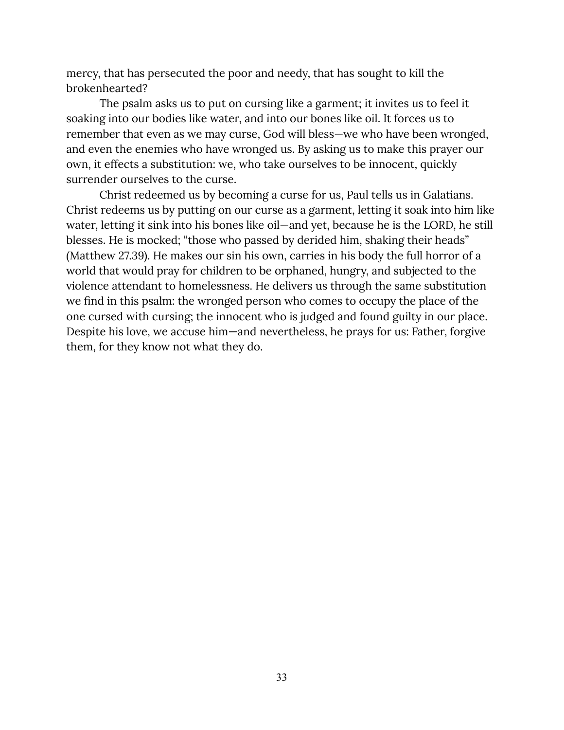mercy, that has persecuted the poor and needy, that has sought to kill the brokenhearted?

The psalm asks us to put on cursing like a garment; it invites us to feel it soaking into our bodies like water, and into our bones like oil. It forces us to remember that even as we may curse, God will bless—we who have been wronged, and even the enemies who have wronged us. By asking us to make this prayer our own, it effects a substitution: we, who take ourselves to be innocent, quickly surrender ourselves to the curse.

Christ redeemed us by becoming a curse for us, Paul tells us in Galatians. Christ redeems us by putting on our curse as a garment, letting it soak into him like water, letting it sink into his bones like oil—and yet, because he is the LORD, he still blesses. He is mocked; "those who passed by derided him, shaking their heads" (Matthew 27.39). He makes our sin his own, carries in his body the full horror of a world that would pray for children to be orphaned, hungry, and subjected to the violence attendant to homelessness. He delivers us through the same substitution we find in this psalm: the wronged person who comes to occupy the place of the one cursed with cursing; the innocent who is judged and found guilty in our place. Despite his love, we accuse him—and nevertheless, he prays for us: Father, forgive them, for they know not what they do.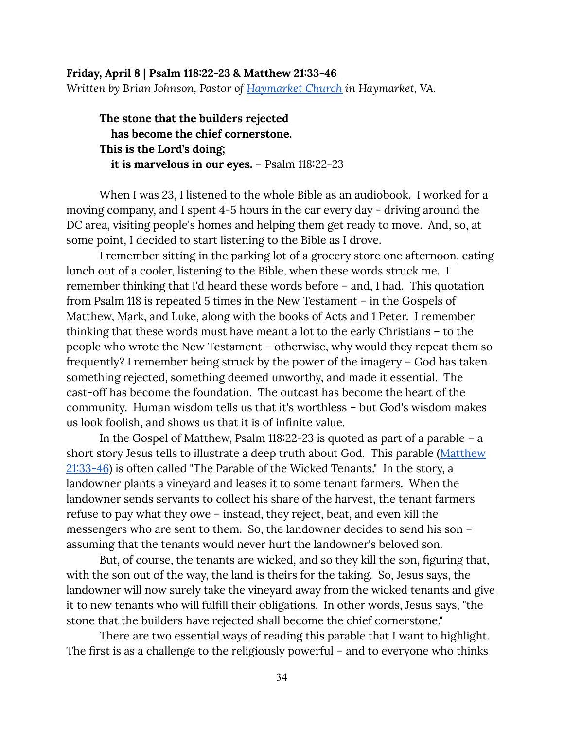### <span id="page-34-0"></span>**Friday, April 8 | Psalm 118:22-23 & Matthew 21:33-46** *Written by Brian Johnson, Pastor of [Haymarket](https://haymarketchurch.org/) Church in Haymarket, VA.*

**The stone that the builders rejected has become the chief cornerstone. This is the Lord's doing; it is marvelous in our eyes.** – Psalm 118:22-23

When I was 23, I listened to the whole Bible as an audiobook. I worked for a moving company, and I spent 4-5 hours in the car every day - driving around the DC area, visiting people's homes and helping them get ready to move. And, so, at some point, I decided to start listening to the Bible as I drove.

I remember sitting in the parking lot of a grocery store one afternoon, eating lunch out of a cooler, listening to the Bible, when these words struck me. I remember thinking that I'd heard these words before – and, I had. This quotation from Psalm 118 is repeated 5 times in the New Testament – in the Gospels of Matthew, Mark, and Luke, along with the books of Acts and 1 Peter. I remember thinking that these words must have meant a lot to the early Christians – to the people who wrote the New Testament – otherwise, why would they repeat them so frequently? I remember being struck by the power of the imagery – God has taken something rejected, something deemed unworthy, and made it essential. The cast-off has become the foundation. The outcast has become the heart of the community. Human wisdom tells us that it's worthless – but God's wisdom makes us look foolish, and shows us that it is of infinite value.

In the Gospel of Matthew, Psalm 118:22-23 is quoted as part of a parable – a short story Jesus tells to illustrate a deep truth about God. This parable ([Matthew](https://www.biblegateway.com/passage/?search=Matthew+21%3A33-46&version=CEB) [21:33-46](https://www.biblegateway.com/passage/?search=Matthew+21%3A33-46&version=CEB)) is often called "The Parable of the Wicked Tenants." In the story, a landowner plants a vineyard and leases it to some tenant farmers. When the landowner sends servants to collect his share of the harvest, the tenant farmers refuse to pay what they owe – instead, they reject, beat, and even kill the messengers who are sent to them. So, the landowner decides to send his son – assuming that the tenants would never hurt the landowner's beloved son.

But, of course, the tenants are wicked, and so they kill the son, figuring that, with the son out of the way, the land is theirs for the taking. So, Jesus says, the landowner will now surely take the vineyard away from the wicked tenants and give it to new tenants who will fulfill their obligations. In other words, Jesus says, "the stone that the builders have rejected shall become the chief cornerstone."

There are two essential ways of reading this parable that I want to highlight. The first is as a challenge to the religiously powerful – and to everyone who thinks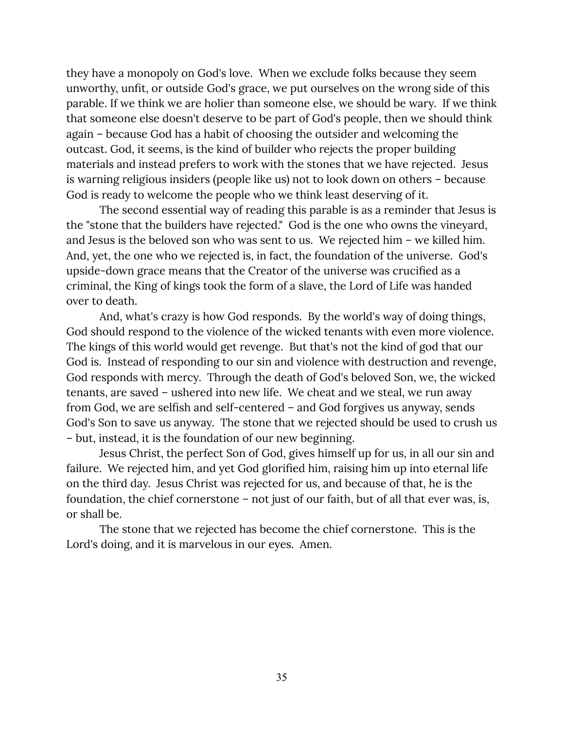they have a monopoly on God's love. When we exclude folks because they seem unworthy, unfit, or outside God's grace, we put ourselves on the wrong side of this parable. If we think we are holier than someone else, we should be wary. If we think that someone else doesn't deserve to be part of God's people, then we should think again – because God has a habit of choosing the outsider and welcoming the outcast. God, it seems, is the kind of builder who rejects the proper building materials and instead prefers to work with the stones that we have rejected. Jesus is warning religious insiders (people like us) not to look down on others – because God is ready to welcome the people who we think least deserving of it.

The second essential way of reading this parable is as a reminder that Jesus is the "stone that the builders have rejected." God is the one who owns the vineyard, and Jesus is the beloved son who was sent to us. We rejected him – we killed him. And, yet, the one who we rejected is, in fact, the foundation of the universe. God's upside-down grace means that the Creator of the universe was crucified as a criminal, the King of kings took the form of a slave, the Lord of Life was handed over to death.

And, what's crazy is how God responds. By the world's way of doing things, God should respond to the violence of the wicked tenants with even more violence. The kings of this world would get revenge. But that's not the kind of god that our God is. Instead of responding to our sin and violence with destruction and revenge, God responds with mercy. Through the death of God's beloved Son, we, the wicked tenants, are saved – ushered into new life. We cheat and we steal, we run away from God, we are selfish and self-centered – and God forgives us anyway, sends God's Son to save us anyway. The stone that we rejected should be used to crush us – but, instead, it is the foundation of our new beginning.

Jesus Christ, the perfect Son of God, gives himself up for us, in all our sin and failure. We rejected him, and yet God glorified him, raising him up into eternal life on the third day. Jesus Christ was rejected for us, and because of that, he is the foundation, the chief cornerstone – not just of our faith, but of all that ever was, is, or shall be.

The stone that we rejected has become the chief cornerstone. This is the Lord's doing, and it is marvelous in our eyes. Amen.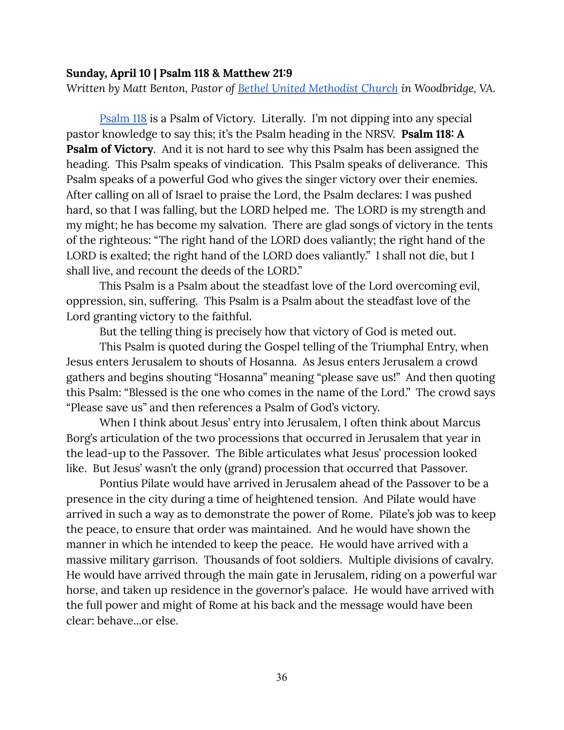#### <span id="page-36-0"></span>**Sunday, April 10 | Psalm 118 & Matthew 21:9**

*Written by Matt Benton, Pastor of Bethel United [Methodist](https://www.bethelumc.org/) Church in Woodbridge, VA.*

[Psalm](https://www.biblegateway.com/passage/?search=Psalm+118&version=CEB) 118 is a Psalm of Victory. Literally. I'm not dipping into any special pastor knowledge to say this; it's the Psalm heading in the NRSV. **Psalm 118: A Psalm of Victory**. And it is not hard to see why this Psalm has been assigned the heading. This Psalm speaks of vindication. This Psalm speaks of deliverance. This Psalm speaks of a powerful God who gives the singer victory over their enemies. After calling on all of Israel to praise the Lord, the Psalm declares: I was pushed hard, so that I was falling, but the LORD helped me. The LORD is my strength and my might; he has become my salvation. There are glad songs of victory in the tents of the righteous: "The right hand of the LORD does valiantly; the right hand of the LORD is exalted; the right hand of the LORD does valiantly." I shall not die, but I shall live, and recount the deeds of the LORD."

This Psalm is a Psalm about the steadfast love of the Lord overcoming evil, oppression, sin, suffering. This Psalm is a Psalm about the steadfast love of the Lord granting victory to the faithful.

But the telling thing is precisely how that victory of God is meted out.

This Psalm is quoted during the Gospel telling of the Triumphal Entry, when Jesus enters Jerusalem to shouts of Hosanna. As Jesus enters Jerusalem a crowd gathers and begins shouting "Hosanna" meaning "please save us!" And then quoting this Psalm: "Blessed is the one who comes in the name of the Lord." The crowd says "Please save us" and then references a Psalm of God's victory.

When I think about Jesus' entry into Jerusalem, I often think about Marcus Borg's articulation of the two processions that occurred in Jerusalem that year in the lead-up to the Passover. The Bible articulates what Jesus' procession looked like. But Jesus' wasn't the only (grand) procession that occurred that Passover.

Pontius Pilate would have arrived in Jerusalem ahead of the Passover to be a presence in the city during a time of heightened tension. And Pilate would have arrived in such a way as to demonstrate the power of Rome. Pilate's job was to keep the peace, to ensure that order was maintained. And he would have shown the manner in which he intended to keep the peace. He would have arrived with a massive military garrison. Thousands of foot soldiers. Multiple divisions of cavalry. He would have arrived through the main gate in Jerusalem, riding on a powerful war horse, and taken up residence in the governor's palace. He would have arrived with the full power and might of Rome at his back and the message would have been clear: behave...or else.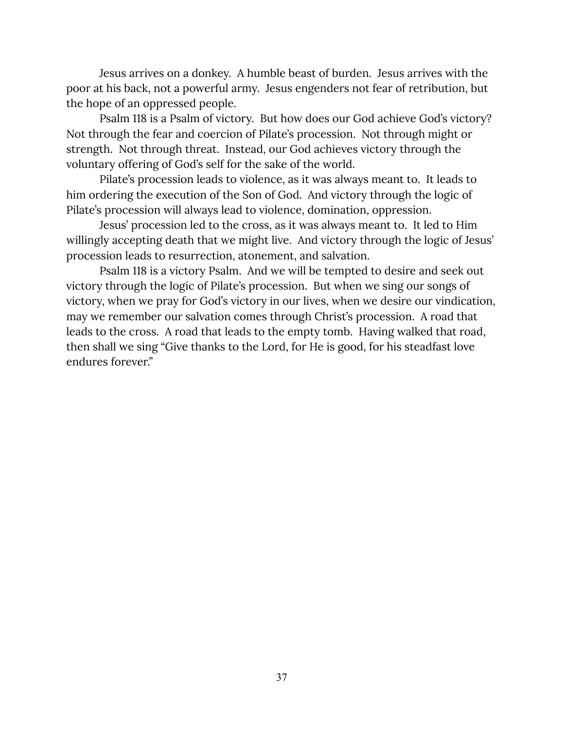Jesus arrives on a donkey. A humble beast of burden. Jesus arrives with the poor at his back, not a powerful army. Jesus engenders not fear of retribution, but the hope of an oppressed people.

Psalm 118 is a Psalm of victory. But how does our God achieve God's victory? Not through the fear and coercion of Pilate's procession. Not through might or strength. Not through threat. Instead, our God achieves victory through the voluntary offering of God's self for the sake of the world.

Pilate's procession leads to violence, as it was always meant to. It leads to him ordering the execution of the Son of God. And victory through the logic of Pilate's procession will always lead to violence, domination, oppression.

Jesus' procession led to the cross, as it was always meant to. It led to Him willingly accepting death that we might live. And victory through the logic of Jesus' procession leads to resurrection, atonement, and salvation.

Psalm 118 is a victory Psalm. And we will be tempted to desire and seek out victory through the logic of Pilate's procession. But when we sing our songs of victory, when we pray for God's victory in our lives, when we desire our vindication, may we remember our salvation comes through Christ's procession. A road that leads to the cross. A road that leads to the empty tomb. Having walked that road, then shall we sing "Give thanks to the Lord, for He is good, for his steadfast love endures forever."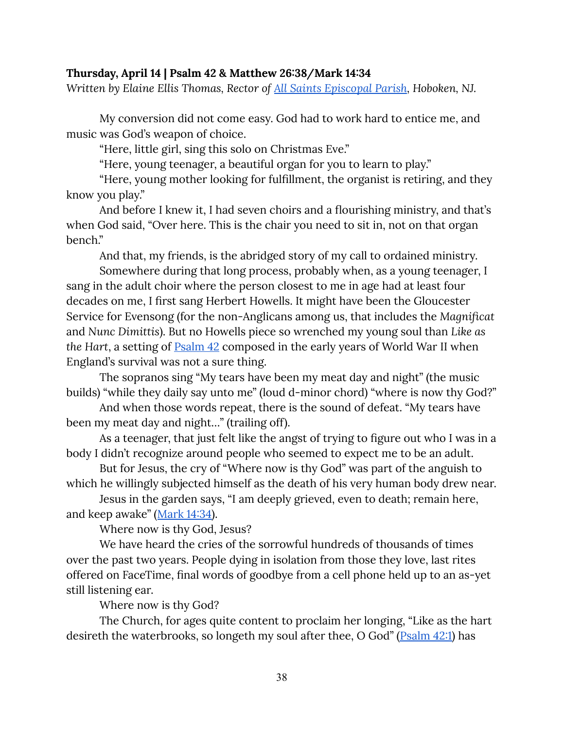#### <span id="page-38-0"></span>**Thursday, April 14 | Psalm 42 & Matthew 26:38/Mark 14:34**

*Written by Elaine Ellis Thomas, Rector of All Saints [Episcopal](http://allsaintshoboken.com/) Parish, Hoboken, NJ.*

My conversion did not come easy. God had to work hard to entice me, and music was God's weapon of choice.

"Here, little girl, sing this solo on Christmas Eve."

"Here, young teenager, a beautiful organ for you to learn to play."

"Here, young mother looking for fulfillment, the organist is retiring, and they know you play."

And before I knew it, I had seven choirs and a flourishing ministry, and that's when God said, "Over here. This is the chair you need to sit in, not on that organ bench."

And that, my friends, is the abridged story of my call to ordained ministry.

Somewhere during that long process, probably when, as a young teenager, I sang in the adult choir where the person closest to me in age had at least four decades on me, I first sang Herbert Howells. It might have been the Gloucester Service for Evensong (for the non-Anglicans among us, that includes the *Magnificat* and *Nunc Dimittis*). But no Howells piece so wrenched my young soul than *Like as the Hart*, a setting of [Psalm](https://www.biblegateway.com/passage/?search=Psalm+42&version=CEB) 42 composed in the early years of World War II when England's survival was not a sure thing.

The sopranos sing "My tears have been my meat day and night" (the music builds) "while they daily say unto me" (loud d-minor chord) "where is now thy God?"

And when those words repeat, there is the sound of defeat. "My tears have been my meat day and night…" (trailing off).

As a teenager, that just felt like the angst of trying to figure out who I was in a body I didn't recognize around people who seemed to expect me to be an adult.

But for Jesus, the cry of "Where now is thy God" was part of the anguish to which he willingly subjected himself as the death of his very human body drew near.

Jesus in the garden says, "I am deeply grieved, even to death; remain here, and keep awake" ([Mark](https://www.biblegateway.com/passage/?search=Mark+14%3A34&version=CEB) 14:34).

Where now is thy God, Jesus?

We have heard the cries of the sorrowful hundreds of thousands of times over the past two years. People dying in isolation from those they love, last rites offered on FaceTime, final words of goodbye from a cell phone held up to an as-yet still listening ear.

Where now is thy God?

The Church, for ages quite content to proclaim her longing, "Like as the hart desireth the waterbrooks, so longeth my soul after thee, O God" [\(Psalm](https://www.biblegateway.com/passage/?search=Psalm+42%3A1&version=CEB) 42:1) has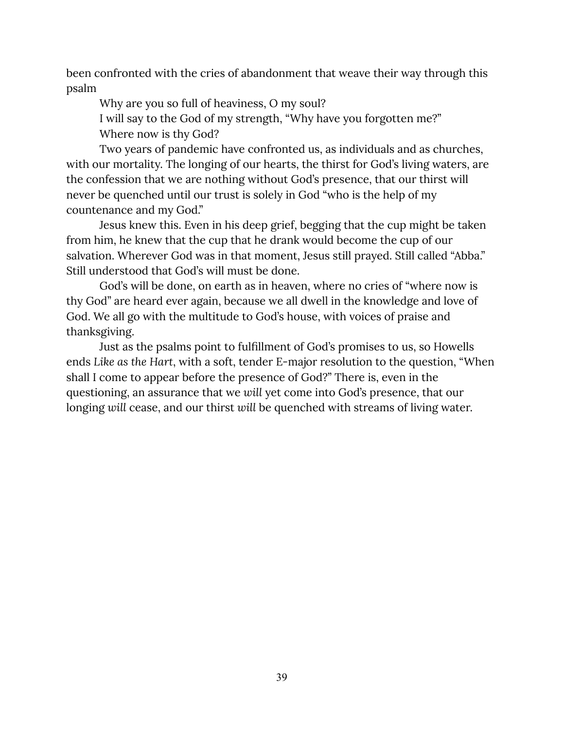been confronted with the cries of abandonment that weave their way through this psalm

Why are you so full of heaviness, O my soul?

I will say to the God of my strength, "Why have you forgotten me?" Where now is thy God?

Two years of pandemic have confronted us, as individuals and as churches, with our mortality. The longing of our hearts, the thirst for God's living waters, are the confession that we are nothing without God's presence, that our thirst will never be quenched until our trust is solely in God "who is the help of my countenance and my God."

Jesus knew this. Even in his deep grief, begging that the cup might be taken from him, he knew that the cup that he drank would become the cup of our salvation. Wherever God was in that moment, Jesus still prayed. Still called "Abba." Still understood that God's will must be done.

God's will be done, on earth as in heaven, where no cries of "where now is thy God" are heard ever again, because we all dwell in the knowledge and love of God. We all go with the multitude to God's house, with voices of praise and thanksgiving.

Just as the psalms point to fulfillment of God's promises to us, so Howells ends *Like as the Hart*, with a soft, tender E-major resolution to the question, "When shall I come to appear before the presence of God?" There is, even in the questioning, an assurance that we *will* yet come into God's presence, that our longing *will* cease, and our thirst *will* be quenched with streams of living water.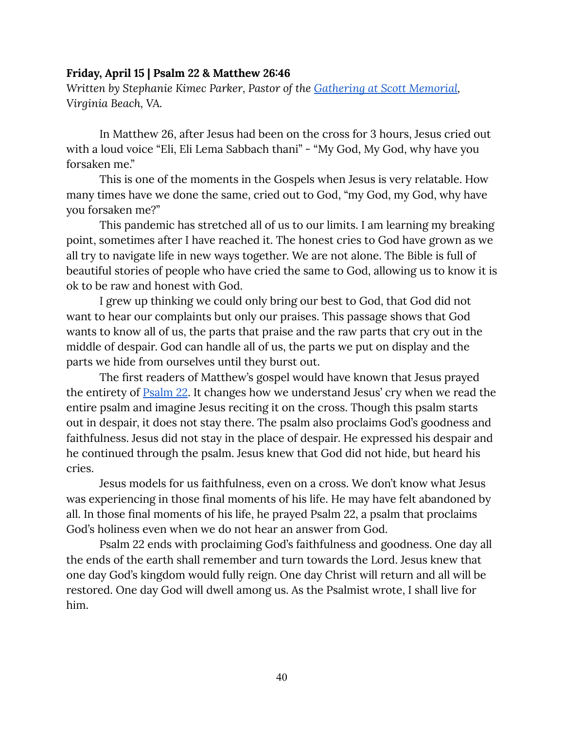#### <span id="page-40-0"></span>**Friday, April 15 | Psalm 22 & Matthew 26:46**

*Written by Stephanie Kimec Parker, Pastor of the [Gathering](https://www.thegatheringatscottmemorialumc.com/) at Scott Memorial, Virginia Beach, VA.*

In Matthew 26, after Jesus had been on the cross for 3 hours, Jesus cried out with a loud voice "Eli, Eli Lema Sabbach thani" - "My God, My God, why have you forsaken me."

This is one of the moments in the Gospels when Jesus is very relatable. How many times have we done the same, cried out to God, "my God, my God, why have you forsaken me?"

This pandemic has stretched all of us to our limits. I am learning my breaking point, sometimes after I have reached it. The honest cries to God have grown as we all try to navigate life in new ways together. We are not alone. The Bible is full of beautiful stories of people who have cried the same to God, allowing us to know it is ok to be raw and honest with God.

I grew up thinking we could only bring our best to God, that God did not want to hear our complaints but only our praises. This passage shows that God wants to know all of us, the parts that praise and the raw parts that cry out in the middle of despair. God can handle all of us, the parts we put on display and the parts we hide from ourselves until they burst out.

The first readers of Matthew's gospel would have known that Jesus prayed the entirety of [Psalm](https://www.biblegateway.com/passage/?search=psalm+22&version=CEB) 22. It changes how we understand Jesus' cry when we read the entire psalm and imagine Jesus reciting it on the cross. Though this psalm starts out in despair, it does not stay there. The psalm also proclaims God's goodness and faithfulness. Jesus did not stay in the place of despair. He expressed his despair and he continued through the psalm. Jesus knew that God did not hide, but heard his cries.

Jesus models for us faithfulness, even on a cross. We don't know what Jesus was experiencing in those final moments of his life. He may have felt abandoned by all. In those final moments of his life, he prayed Psalm 22, a psalm that proclaims God's holiness even when we do not hear an answer from God.

Psalm 22 ends with proclaiming God's faithfulness and goodness. One day all the ends of the earth shall remember and turn towards the Lord. Jesus knew that one day God's kingdom would fully reign. One day Christ will return and all will be restored. One day God will dwell among us. As the Psalmist wrote, I shall live for him.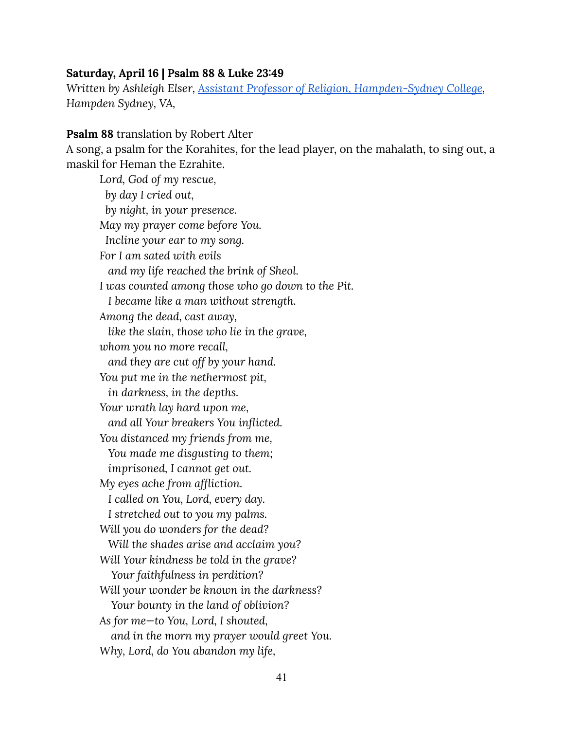#### <span id="page-41-0"></span>**Saturday, April 16 | Psalm 88 & Luke 23:49**

*Written by Ashleigh Elser, Assistant Professor of Religion, [Hampden-Sydney](https://www.hsc.edu/academics/religion/religion-professors) College, Hampden Sydney, VA,*

#### **Psalm 88** translation by Robert Alter

A song, a psalm for the Korahites, for the lead player, on the mahalath, to sing out, a maskil for Heman the Ezrahite.

*Lord, God of my rescue, by day I cried out, by night, in your presence. May my prayer come before You. Incline your ear to my song. For I am sated with evils and my life reached the brink of Sheol. I was counted among those who go down to the Pit. I became like a man without strength. Among the dead, cast away, like the slain, those who lie in the grave, whom you no more recall, and they are cut off by your hand. You put me in the nethermost pit, in darkness, in the depths. Your wrath lay hard upon me, and all Your breakers You inflicted. You distanced my friends from me, You made me disgusting to them; imprisoned, I cannot get out. My eyes ache from affliction. I called on You, Lord, every day. I stretched out to you my palms. Will you do wonders for the dead? Will the shades arise and acclaim you? Will Your kindness be told in the grave? Your faithfulness in perdition? Will your wonder be known in the darkness? Your bounty in the land of oblivion? As for me—to You, Lord, I shouted, and in the morn my prayer would greet You. Why, Lord, do You abandon my life,*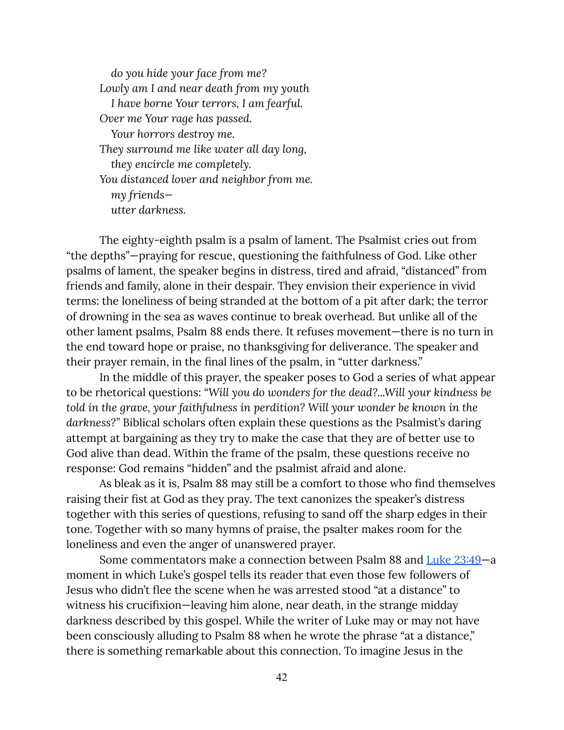*do you hide your face from me? Lowly am I and near death from my youth I have borne Your terrors, I am fearful. Over me Your rage has passed. Your horrors destroy me. They surround me like water all day long, they encircle me completely. You distanced lover and neighbor from me. my friends utter darkness.*

The eighty-eighth psalm is a psalm of lament. The Psalmist cries out from "the depths"—praying for rescue, questioning the faithfulness of God. Like other psalms of lament, the speaker begins in distress, tired and afraid, "distanced" from friends and family, alone in their despair. They envision their experience in vivid terms: the loneliness of being stranded at the bottom of a pit after dark; the terror of drowning in the sea as waves continue to break overhead. But unlike all of the other lament psalms, Psalm 88 ends there. It refuses movement—there is no turn in the end toward hope or praise, no thanksgiving for deliverance. The speaker and their prayer remain, in the final lines of the psalm, in "utter darkness."

In the middle of this prayer, the speaker poses to God a series of what appear to be rhetorical questions: *"Will you do wonders for the dead?...Will your kindness be told in the grave, your faithfulness in perdition? Will your wonder be known in the darkness?"* Biblical scholars often explain these questions as the Psalmist's daring attempt at bargaining as they try to make the case that they are of better use to God alive than dead. Within the frame of the psalm, these questions receive no response: God remains "hidden" and the psalmist afraid and alone.

As bleak as it is, Psalm 88 may still be a comfort to those who find themselves raising their fist at God as they pray. The text canonizes the speaker's distress together with this series of questions, refusing to sand off the sharp edges in their tone. Together with so many hymns of praise, the psalter makes room for the loneliness and even the anger of unanswered prayer.

Some commentators make a connection between Psalm 88 and Luke [23:49—](https://www.biblegateway.com/passage/?search=luke+23%3A49&version=CEB)a moment in which Luke's gospel tells its reader that even those few followers of Jesus who didn't flee the scene when he was arrested stood "at a distance" to witness his crucifixion—leaving him alone, near death, in the strange midday darkness described by this gospel. While the writer of Luke may or may not have been consciously alluding to Psalm 88 when he wrote the phrase "at a distance," there is something remarkable about this connection. To imagine Jesus in the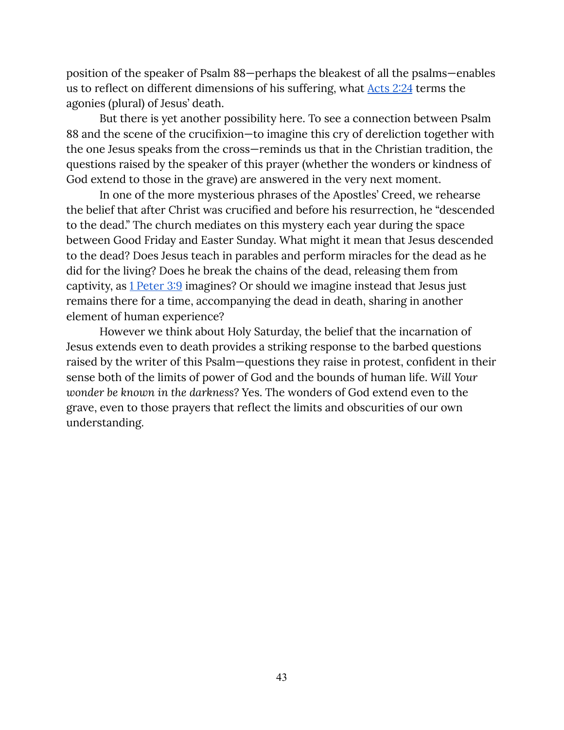position of the speaker of Psalm 88—perhaps the bleakest of all the psalms—enables us to reflect on different dimensions of his suffering, what [Acts](https://www.biblegateway.com/passage/?search=acts+2%3A24&version=CEB) 2:24 terms the agonies (plural) of Jesus' death.

But there is yet another possibility here. To see a connection between Psalm 88 and the scene of the crucifixion—to imagine this cry of dereliction together with the one Jesus speaks from the cross—reminds us that in the Christian tradition, the questions raised by the speaker of this prayer (whether the wonders or kindness of God extend to those in the grave) are answered in the very next moment.

In one of the more mysterious phrases of the Apostles' Creed, we rehearse the belief that after Christ was crucified and before his resurrection, he "descended to the dead." The church mediates on this mystery each year during the space between Good Friday and Easter Sunday. What might it mean that Jesus descended to the dead? Does Jesus teach in parables and perform miracles for the dead as he did for the living? Does he break the chains of the dead, releasing them from captivity, as 1 [Peter](https://www.biblegateway.com/passage/?search=1+Peter+3%3A9&version=CEB) 3:9 imagines? Or should we imagine instead that Jesus just remains there for a time, accompanying the dead in death, sharing in another element of human experience?

However we think about Holy Saturday, the belief that the incarnation of Jesus extends even to death provides a striking response to the barbed questions raised by the writer of this Psalm—questions they raise in protest, confident in their sense both of the limits of power of God and the bounds of human life. *Will Your wonder be known in the darkness?* Yes. The wonders of God extend even to the grave, even to those prayers that reflect the limits and obscurities of our own understanding.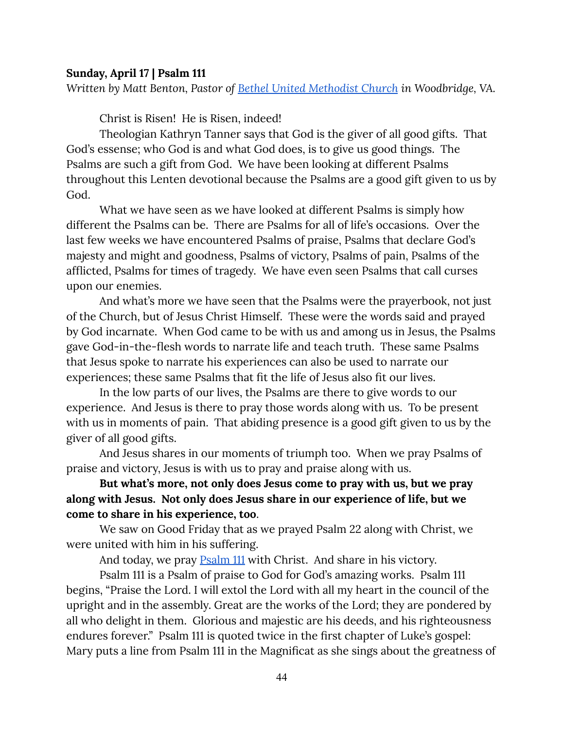#### <span id="page-44-0"></span>**Sunday, April 17 | Psalm 111**

*Written by Matt Benton, Pastor of Bethel United [Methodist](https://www.bethelumc.org/) Church in Woodbridge, VA.*

Christ is Risen! He is Risen, indeed!

Theologian Kathryn Tanner says that God is the giver of all good gifts. That God's essense; who God is and what God does, is to give us good things. The Psalms are such a gift from God. We have been looking at different Psalms throughout this Lenten devotional because the Psalms are a good gift given to us by God.

What we have seen as we have looked at different Psalms is simply how different the Psalms can be. There are Psalms for all of life's occasions. Over the last few weeks we have encountered Psalms of praise, Psalms that declare God's majesty and might and goodness, Psalms of victory, Psalms of pain, Psalms of the afflicted, Psalms for times of tragedy. We have even seen Psalms that call curses upon our enemies.

And what's more we have seen that the Psalms were the prayerbook, not just of the Church, but of Jesus Christ Himself. These were the words said and prayed by God incarnate. When God came to be with us and among us in Jesus, the Psalms gave God-in-the-flesh words to narrate life and teach truth. These same Psalms that Jesus spoke to narrate his experiences can also be used to narrate our experiences; these same Psalms that fit the life of Jesus also fit our lives.

In the low parts of our lives, the Psalms are there to give words to our experience. And Jesus is there to pray those words along with us. To be present with us in moments of pain. That abiding presence is a good gift given to us by the giver of all good gifts.

And Jesus shares in our moments of triumph too. When we pray Psalms of praise and victory, Jesus is with us to pray and praise along with us.

## **But what's more, not only does Jesus come to pray with us, but we pray along with Jesus. Not only does Jesus share in our experience of life, but we come to share in his experience, too**.

We saw on Good Friday that as we prayed Psalm 22 along with Christ, we were united with him in his suffering.

And today, we pray **[Psalm](https://www.biblegateway.com/passage/?search=psalm+111&version=CEB) 111** with Christ. And share in his victory.

Psalm 111 is a Psalm of praise to God for God's amazing works. Psalm 111 begins, "Praise the Lord. I will extol the Lord with all my heart in the council of the upright and in the assembly. Great are the works of the Lord; they are pondered by all who delight in them. Glorious and majestic are his deeds, and his righteousness endures forever." Psalm 111 is quoted twice in the first chapter of Luke's gospel: Mary puts a line from Psalm 111 in the Magnificat as she sings about the greatness of